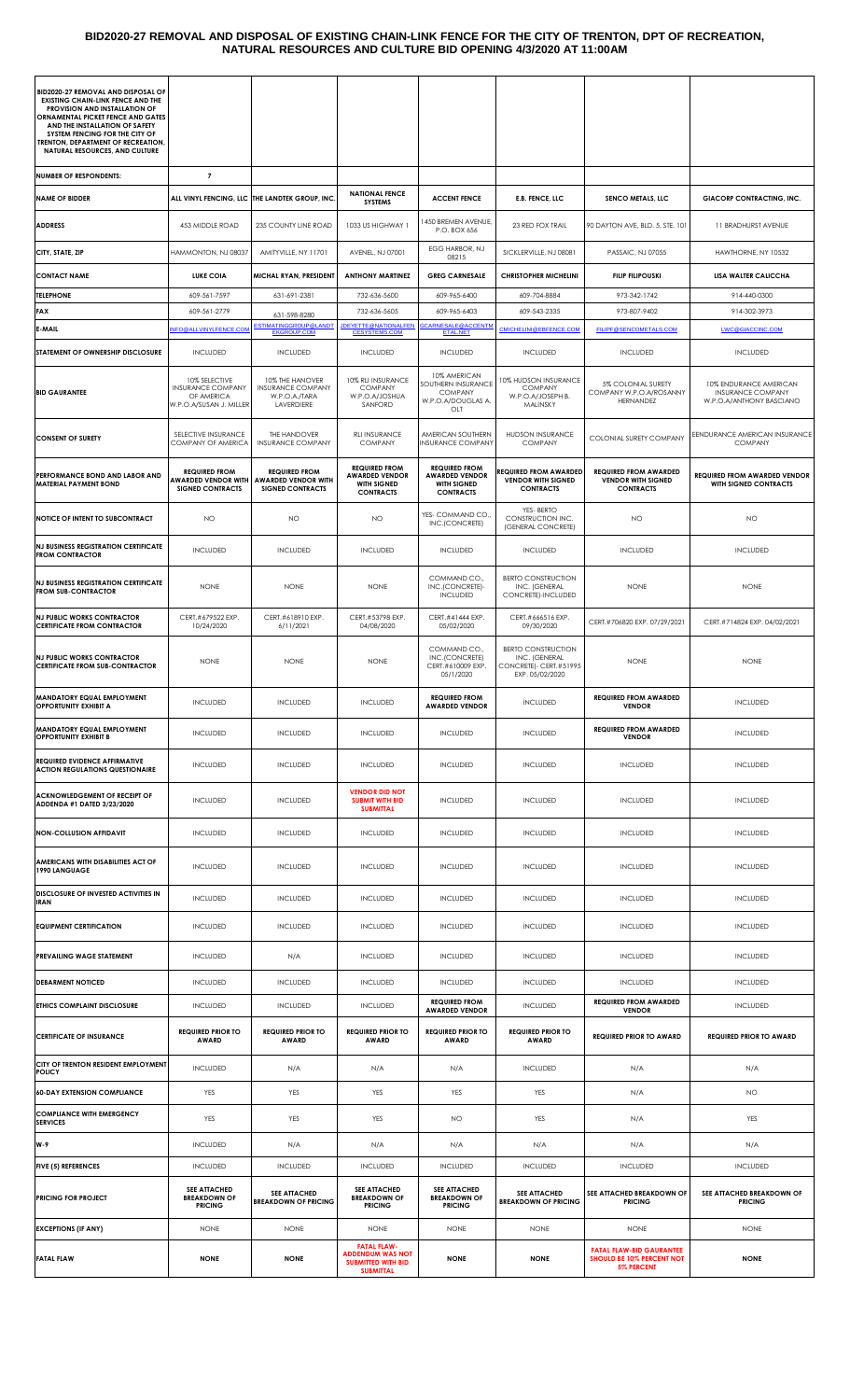#### **BID2020-27 REMOVAL AND DISPOSAL OF EXISTING CHAIN-LINK FENCE FOR THE CITY OF TRENTON, DPT OF RECREATION, NATURAL RESOURCES AND CULTURE BID OPENING 4/3/2020 AT 11:00AM**

| <b>BID2020-27 REMOVAL AND DISPOSAL OF</b>                                                                      |                                                                                    |                                                                               |                                                                                                |                                                                                         |                                                                                         |                                                                                   |                                                                                |
|----------------------------------------------------------------------------------------------------------------|------------------------------------------------------------------------------------|-------------------------------------------------------------------------------|------------------------------------------------------------------------------------------------|-----------------------------------------------------------------------------------------|-----------------------------------------------------------------------------------------|-----------------------------------------------------------------------------------|--------------------------------------------------------------------------------|
| <b>EXISTING CHAIN-LINK FENCE AND THE</b><br>PROVISION AND INSTALLATION OF<br>ORNAMENTAL PICKET FENCE AND GATES |                                                                                    |                                                                               |                                                                                                |                                                                                         |                                                                                         |                                                                                   |                                                                                |
| AND THE INSTALLATION OF SAFETY<br>SYSTEM FENCING FOR THE CITY OF<br>TRENTON, DEPARTMENT OF RECREATION,         |                                                                                    |                                                                               |                                                                                                |                                                                                         |                                                                                         |                                                                                   |                                                                                |
| <b>NATURAL RESOURCES, AND CULTURE</b>                                                                          |                                                                                    |                                                                               |                                                                                                |                                                                                         |                                                                                         |                                                                                   |                                                                                |
| <b>NUMBER OF RESPONDENTS:</b><br><b>NAME OF BIDDER</b>                                                         | $\overline{7}$                                                                     | ALL VINYL FENCING, LLC THE LANDTEK GROUP, INC                                 | <b>NATIONAL FENCE</b>                                                                          | <b>ACCENT FENCE</b>                                                                     | E.B. FENCE, LLC                                                                         | SENCO METALS, LLC                                                                 | <b>GIACORP CONTRACTING, INC.</b>                                               |
| <b>ADDRESS</b>                                                                                                 | 453 MIDDLE ROAD                                                                    | 235 COUNTY LINE ROAD                                                          | <b>SYSTEMS</b><br>1033 US HIGHWAY 1                                                            | <b>450 BREMEN AVENUE,</b>                                                               | 23 RED FOX TRAIL                                                                        | 90 DAYTON AVE, BLD. 5, STE. 101                                                   | 11 BRADHURST AVENUE                                                            |
|                                                                                                                |                                                                                    |                                                                               |                                                                                                | P.O. BOX 656<br>EGG HARBOR, NJ                                                          |                                                                                         |                                                                                   |                                                                                |
| CITY, STATE, ZIP<br><b>CONTACT NAME</b>                                                                        | HAMMONTON, NJ 08037<br><b>LUKE COIA</b>                                            | AMITYVILLE, NY 11701<br>MICHAL RYAN, PRESIDENT                                | AVENEL, NJ 07001<br><b>ANTHONY MARTINEZ</b>                                                    | 08215<br><b>GREG CARNESALE</b>                                                          | SICKLERVILLE, NJ 08081<br><b>CHRISTOPHER MICHELINI</b>                                  | PASSAIC, NJ 07055<br><b>FILIP FILIPOUSKI</b>                                      | HAWTHORNE, NY 10532<br>LISA WALTER CALICCHA                                    |
| <b>TELEPHONE</b>                                                                                               | 609-561-7597                                                                       | 631-691-2381                                                                  | 732-636-5600                                                                                   | 609-965-6400                                                                            | 609-704-8884                                                                            | 973-342-1742                                                                      | 914-440-0300                                                                   |
| <b>FAX</b>                                                                                                     | 609-561-2779                                                                       | 631-598-8280                                                                  | 732-636-5605                                                                                   | 609-965-6403                                                                            | 609-543-2335                                                                            | 973-807-9402                                                                      | 914-302-3973                                                                   |
| E-MAIL                                                                                                         | NFO@ALLVINYLFENCE.COM                                                              | ESTIMATINGGROUP@LANDT<br><b>EKGROUP.COM</b>                                   | <b>JDEYETTE@NATIONALFEN</b><br><b>CESYSTEMS.COM</b>                                            | <b>GCARNESALE@ACCENTM</b><br><b>ETAL.NET</b>                                            | CMICHELINI@EBFENCE.COM                                                                  | <b>FILIPF@SENCOMETALS.COM</b>                                                     | LWC@GIACCINC.COM                                                               |
| STATEMENT OF OWNERSHIP DISCLOSURE                                                                              | <b>INCLUDED</b>                                                                    | <b>INCLUDED</b>                                                               | <b>INCLUDED</b>                                                                                | <b>INCLUDED</b>                                                                         | <b>INCLUDED</b>                                                                         | <b>INCLUDED</b>                                                                   | <b>INCLUDED</b>                                                                |
| <b>BID GAURANTEE</b>                                                                                           | 10% SELECTIVE<br><b>INSURANCE COMPANY</b><br>OF AMERICA<br>W.P.O.A/SUSAN J. MILLER | 10% THE HANOVER<br><b>INSURANCE COMPANY</b><br>W.P.O.A./TARA<br>LAVERDIERE    | 10% RLI INSURANCE<br><b>COMPANY</b><br>W.P.O.A/JOSHUA<br>SANFORD                               | 10% AMERICAN<br>SOUTHERN INSURANCE<br><b>COMPANY</b><br>W.P.O.A/DOUGLAS A.<br>OLT       | 10% HUDSON INSURANCE<br><b>COMPANY</b><br>W.P.O.A/JOSEPH B.<br>MALINSKY                 | 5% COLONIAL SURETY<br>COMPANY W.P.O.A/ROSANNY<br><b>HERNANDEZ</b>                 | 10% ENDURANCE AMERICAN<br><b>INSURANCE COMPANY</b><br>W.P.O.A/ANTHONY BASCIANO |
| <b>CONSENT OF SURETY</b>                                                                                       | SELECTIVE INSURANCE<br>COMPANY OF AMERICA                                          | THE HANDOVER<br><b>INSURANCE COMPANY</b>                                      | <b>RLI INSURANCE</b><br><b>COMPANY</b>                                                         | AMERICAN SOUTHERN<br><b>INSURANCE COMPANY</b>                                           | <b>HUDSON INSURANCE</b><br><b>COMPANY</b>                                               | <b>COLONIAL SURETY COMPANY</b>                                                    | EENDURANCE AMERICAN INSURANCE<br><b>COMPANY</b>                                |
| PERFORMANCE BOND AND LABOR AND<br><b>MATERIAL PAYMENT BOND</b>                                                 | <b>REQUIRED FROM</b><br><b>AWARDED VENDOR WITH</b><br><b>SIGNED CONTRACTS</b>      | <b>REQUIRED FROM</b><br><b>AWARDED VENDOR WITH</b><br><b>SIGNED CONTRACTS</b> | <b>REQUIRED FROM</b><br><b>AWARDED VENDOR</b><br>WITH SIGNED<br><b>CONTRACTS</b>               | <b>REQUIRED FROM</b><br><b>AWARDED VENDOR</b><br><b>WITH SIGNED</b><br><b>CONTRACTS</b> | REQUIRED FROM AWARDED<br><b>VENDOR WITH SIGNED</b><br><b>CONTRACTS</b>                  | <b>REQUIRED FROM AWARDED</b><br><b>VENDOR WITH SIGNED</b><br><b>CONTRACTS</b>     | <b>REQUIRED FROM AWARDED VENDOR</b><br>WITH SIGNED CONTRACTS                   |
| NOTICE OF INTENT TO SUBCONTRACT                                                                                | NO.                                                                                | <b>NO</b>                                                                     | NO                                                                                             | YES- COMMAND CO.<br>INC.(CONCRETE)                                                      | YES-BERTO<br>CONSTRUCTION INC.<br>(GENERAL CONCRETE)                                    | NO                                                                                | <b>NO</b>                                                                      |
| <b>NJ BUSINESS REGISTRATION CERTIFICATE</b><br><b>FROM CONTRACTOR</b>                                          | <b>INCLUDED</b>                                                                    | <b>INCLUDED</b>                                                               | INCLUDED                                                                                       | <b>INCLUDED</b>                                                                         | <b>INCLUDED</b>                                                                         | <b>INCLUDED</b>                                                                   | <b>INCLUDED</b>                                                                |
| <b>NJ BUSINESS REGISTRATION CERTIFICATE</b><br><b>FROM SUB-CONTRACTOR</b>                                      | <b>NONE</b>                                                                        | <b>NONE</b>                                                                   | <b>NONE</b>                                                                                    | COMMAND CO.,<br>INC.(CONCRETE)-<br><b>INCLUDED</b>                                      | <b>BERTO CONSTRUCTION</b><br>INC. (GENERAL<br>CONCRETE)-INCLUDED                        | <b>NONE</b>                                                                       | <b>NONE</b>                                                                    |
| <b>NJ PUBLIC WORKS CONTRACTOR</b><br><b>CERTIFICATE FROM CONTRACTOR</b>                                        | CERT.#679522 EXP.<br>10/24/2020                                                    | CERT.#618910 EXP.<br>6/11/2021                                                | CERT.#53798 EXP.<br>04/08/2020                                                                 | CERT.#41444 EXP.<br>05/02/2020                                                          | CERT.#666516 EXP.<br>09/30/2020                                                         | CERT.#706820 EXP. 07/29/2021                                                      | CERT.#714824 EXP. 04/02/2021                                                   |
| <b>NJ PUBLIC WORKS CONTRACTOR</b><br><b>CERTIFICATE FROM SUB-CONTRACTOR</b>                                    | <b>NONE</b>                                                                        | <b>NONE</b>                                                                   | <b>NONE</b>                                                                                    | COMMAND CO.,<br>INC.(CONCRETE)<br>CERT.#610009 EXP.<br>05/1/2020                        | <b>BERTO CONSTRUCTION</b><br>INC. (GENERAL<br>CONCRETE)- CERT.#51995<br>EXP. 05/02/2020 | <b>NONE</b>                                                                       | <b>NONE</b>                                                                    |
| <b>MANDATORY EQUAL EMPLOYMENT</b><br><b>OPPORTUNITY EXHIBIT A</b>                                              | <b>INCLUDED</b>                                                                    | <b>INCLUDED</b>                                                               | <b>INCLUDED</b>                                                                                | <b>REQUIRED FROM</b><br><b>AWARDED VENDOR</b>                                           | <b>INCLUDED</b>                                                                         | <b>REQUIRED FROM AWARDED</b><br><b>VENDOR</b>                                     | <b>INCLUDED</b>                                                                |
| MANDATORY EQUAL EMPLOYMENT<br><b>OPPORTUNITY EXHIBIT B</b>                                                     | <b>INCLUDED</b>                                                                    | <b>INCLUDED</b>                                                               | INCLUDED                                                                                       | <b>INCLUDED</b>                                                                         | <b>INCLUDED</b>                                                                         | <b>REQUIRED FROM AWARDED</b><br><b>VENDOR</b>                                     | <b>INCLUDED</b>                                                                |
| <b>REQUIRED EVIDENCE AFFIRMATIVE</b><br><b>ACTION REGULATIONS QUESTIONAIRE</b>                                 | <b>INCLUDED</b>                                                                    | <b>INCLUDED</b>                                                               | <b>INCLUDED</b>                                                                                | <b>INCLUDED</b>                                                                         | <b>INCLUDED</b>                                                                         | <b>INCLUDED</b>                                                                   | <b>INCLUDED</b>                                                                |
| ACKNOWLEDGEMENT OF RECEIPT OF<br>ADDENDA #1 DATED 3/23/2020                                                    | <b>INCLUDED</b>                                                                    | <b>INCLUDED</b>                                                               | <b>VENDOR DID NOT</b><br><b>SUBMIT WITH BID</b><br><b>SUBMITTAL</b>                            | <b>INCLUDED</b>                                                                         | <b>INCLUDED</b>                                                                         | <b>INCLUDED</b>                                                                   | <b>INCLUDED</b>                                                                |
| <b>NON-COLLUSION AFFIDAVIT</b>                                                                                 | <b>INCLUDED</b>                                                                    | <b>INCLUDED</b>                                                               | <b>INCLUDED</b>                                                                                | <b>INCLUDED</b>                                                                         | <b>INCLUDED</b>                                                                         | <b>INCLUDED</b>                                                                   | <b>INCLUDED</b>                                                                |
| AMERICANS WITH DISABILITIES ACT OF<br>1990 LANGUAGE                                                            | <b>INCLUDED</b>                                                                    | <b>INCLUDED</b>                                                               | <b>INCLUDED</b>                                                                                | <b>INCLUDED</b>                                                                         | <b>INCLUDED</b>                                                                         | <b>INCLUDED</b>                                                                   | <b>INCLUDED</b>                                                                |
| DISCLOSURE OF INVESTED ACTIVITIES IN<br><b>IRAN</b>                                                            | <b>INCLUDED</b>                                                                    | <b>INCLUDED</b>                                                               | <b>INCLUDED</b>                                                                                | <b>INCLUDED</b>                                                                         | <b>INCLUDED</b>                                                                         | <b>INCLUDED</b>                                                                   | <b>INCLUDED</b>                                                                |
| <b>EQUIPMENT CERTIFICATION</b>                                                                                 | <b>INCLUDED</b>                                                                    | <b>INCLUDED</b>                                                               | <b>INCLUDED</b>                                                                                | <b>INCLUDED</b>                                                                         | <b>INCLUDED</b>                                                                         | <b>INCLUDED</b>                                                                   | <b>INCLUDED</b>                                                                |
| PREVAILING WAGE STATEMENT                                                                                      | <b>INCLUDED</b>                                                                    | N/A                                                                           | <b>INCLUDED</b>                                                                                | <b>INCLUDED</b>                                                                         | <b>INCLUDED</b>                                                                         | <b>INCLUDED</b>                                                                   | <b>INCLUDED</b>                                                                |
| <b>DEBARMENT NOTICED</b>                                                                                       | <b>INCLUDED</b>                                                                    | <b>INCLUDED</b>                                                               | <b>INCLUDED</b>                                                                                | <b>INCLUDED</b>                                                                         | <b>INCLUDED</b>                                                                         | <b>INCLUDED</b>                                                                   | <b>INCLUDED</b>                                                                |
| ETHICS COMPLAINT DISCLOSURE                                                                                    | <b>INCLUDED</b>                                                                    | <b>INCLUDED</b>                                                               | <b>INCLUDED</b>                                                                                | <b>REQUIRED FROM</b><br><b>AWARDED VENDOR</b>                                           | <b>INCLUDED</b>                                                                         | <b>REQUIRED FROM AWARDED</b><br><b>VENDOR</b>                                     | <b>INCLUDED</b>                                                                |
| <b>CERTIFICATE OF INSURANCE</b>                                                                                | <b>REQUIRED PRIOR TO</b><br>AWARD                                                  | <b>REQUIRED PRIOR TO</b><br>AWARD                                             | <b>REQUIRED PRIOR TO</b><br>AWARD                                                              | <b>REQUIRED PRIOR TO</b><br><b>AWARD</b>                                                | <b>REQUIRED PRIOR TO</b><br><b>AWARD</b>                                                | <b>REQUIRED PRIOR TO AWARD</b>                                                    | <b>REQUIRED PRIOR TO AWARD</b>                                                 |
| CITY OF TRENTON RESIDENT EMPLOYMENT<br><b>POLICY</b>                                                           | <b>INCLUDED</b>                                                                    | N/A                                                                           | N/A                                                                                            | N/A                                                                                     | <b>INCLUDED</b>                                                                         | N/A                                                                               | N/A                                                                            |
| <b>60-DAY EXTENSION COMPLIANCE</b>                                                                             | YES                                                                                | YES                                                                           | <b>YES</b>                                                                                     | YES                                                                                     | YES                                                                                     | N/A                                                                               | NO.                                                                            |
| <b>COMPLIANCE WITH EMERGENCY</b><br><b>SERVICES</b>                                                            | YES                                                                                | YES                                                                           | <b>YES</b>                                                                                     | <b>NO</b>                                                                               | YES                                                                                     | N/A                                                                               | <b>YES</b>                                                                     |
| W-9                                                                                                            | <b>INCLUDED</b>                                                                    | N/A                                                                           | N/A                                                                                            | N/A                                                                                     | N/A                                                                                     | N/A                                                                               | N/A                                                                            |
| <b>FIVE (5) REFERENCES</b>                                                                                     | <b>INCLUDED</b>                                                                    | <b>INCLUDED</b>                                                               | <b>INCLUDED</b>                                                                                | <b>INCLUDED</b>                                                                         | <b>INCLUDED</b>                                                                         | <b>INCLUDED</b>                                                                   | <b>INCLUDED</b>                                                                |
| <b>PRICING FOR PROJECT</b>                                                                                     | <b>SEE ATTACHED</b><br><b>BREAKDOWN OF</b><br><b>PRICING</b>                       | <b>SEE ATTACHED</b><br><b>BREAKDOWN OF PRICING</b>                            | <b>SEE ATTACHED</b><br><b>BREAKDOWN OF</b><br><b>PRICING</b>                                   | <b>SEE ATTACHED</b><br><b>BREAKDOWN OF</b><br><b>PRICING</b>                            | <b>SEE ATTACHED</b><br><b>BREAKDOWN OF PRICING</b>                                      | SEE ATTACHED BREAKDOWN OF<br><b>PRICING</b>                                       | SEE ATTACHED BREAKDOWN OF<br><b>PRICING</b>                                    |
| <b>EXCEPTIONS (IF ANY)</b>                                                                                     | <b>NONE</b>                                                                        | <b>NONE</b>                                                                   | <b>NONE</b>                                                                                    | <b>NONE</b>                                                                             | <b>NONE</b>                                                                             | <b>NONE</b>                                                                       | <b>NONE</b>                                                                    |
| <b>FATAL FLAW</b>                                                                                              | <b>NONE</b>                                                                        | <b>NONE</b>                                                                   | <b>FATAL FLAW-</b><br><b>ADDENDUM WAS NOT</b><br><b>SUBMITTED WITH BID</b><br><b>SUBMITTAL</b> | <b>NONE</b>                                                                             | <b>NONE</b>                                                                             | <b>FATAL FLAW-BID GAURANTEE</b><br><b>SHOULD BE 10% PERCENT NOT</b><br>5% PERCENT | <b>NONE</b>                                                                    |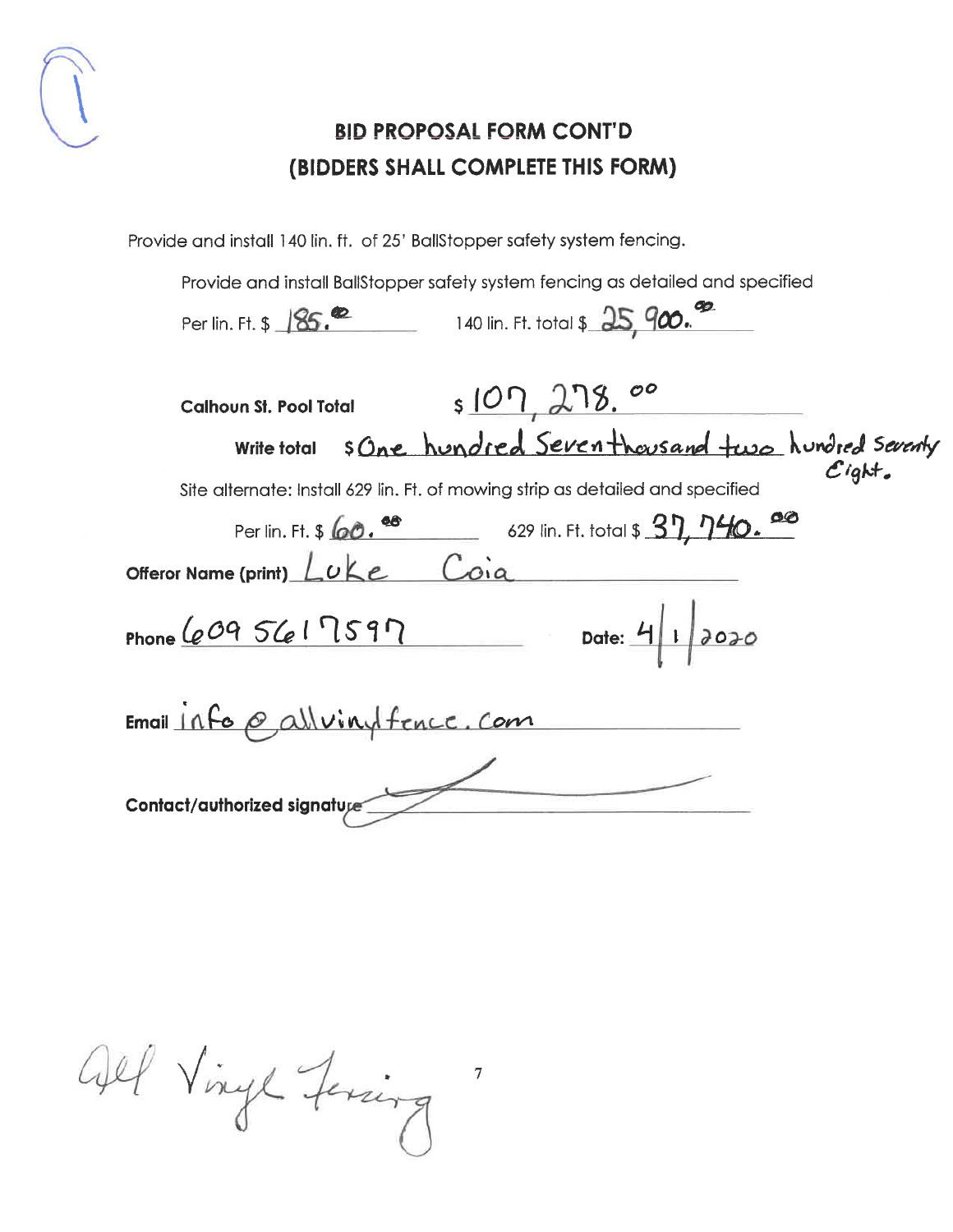

Provide and install 140 lin. ft. of 25' BallStopper safety system fencing.

Provide and install BallStopper safety system fencing as detailed and specified

| 140 lin. Ft. total \$ 25, 900.<br>Per lin. Ft. \$ 185. <sup>02</sup>                                                                                                |
|---------------------------------------------------------------------------------------------------------------------------------------------------------------------|
| s107,278.00<br><b>Calhoun St. Pool Total</b>                                                                                                                        |
| sone hundred Seventhousand two hundred seventy<br><b>Write total</b><br>$C$ ight.<br>Site alternate: Install 629 lin. Ft. of mowing strip as detailed and specified |
| Per lin. Ft. \$ 60. 68 629 lin. Ft. total \$ 37, 740. 68                                                                                                            |
| Offeror Name (print) Luke Coia                                                                                                                                      |
| Date: $4 1 2020$<br>Phone $6095617597$                                                                                                                              |
| Email 11fo @ all viny fence. Com                                                                                                                                    |
| Contact/authorized signature                                                                                                                                        |

 $\overline{\mathcal{I}}$ 

Gel Vingt Ferring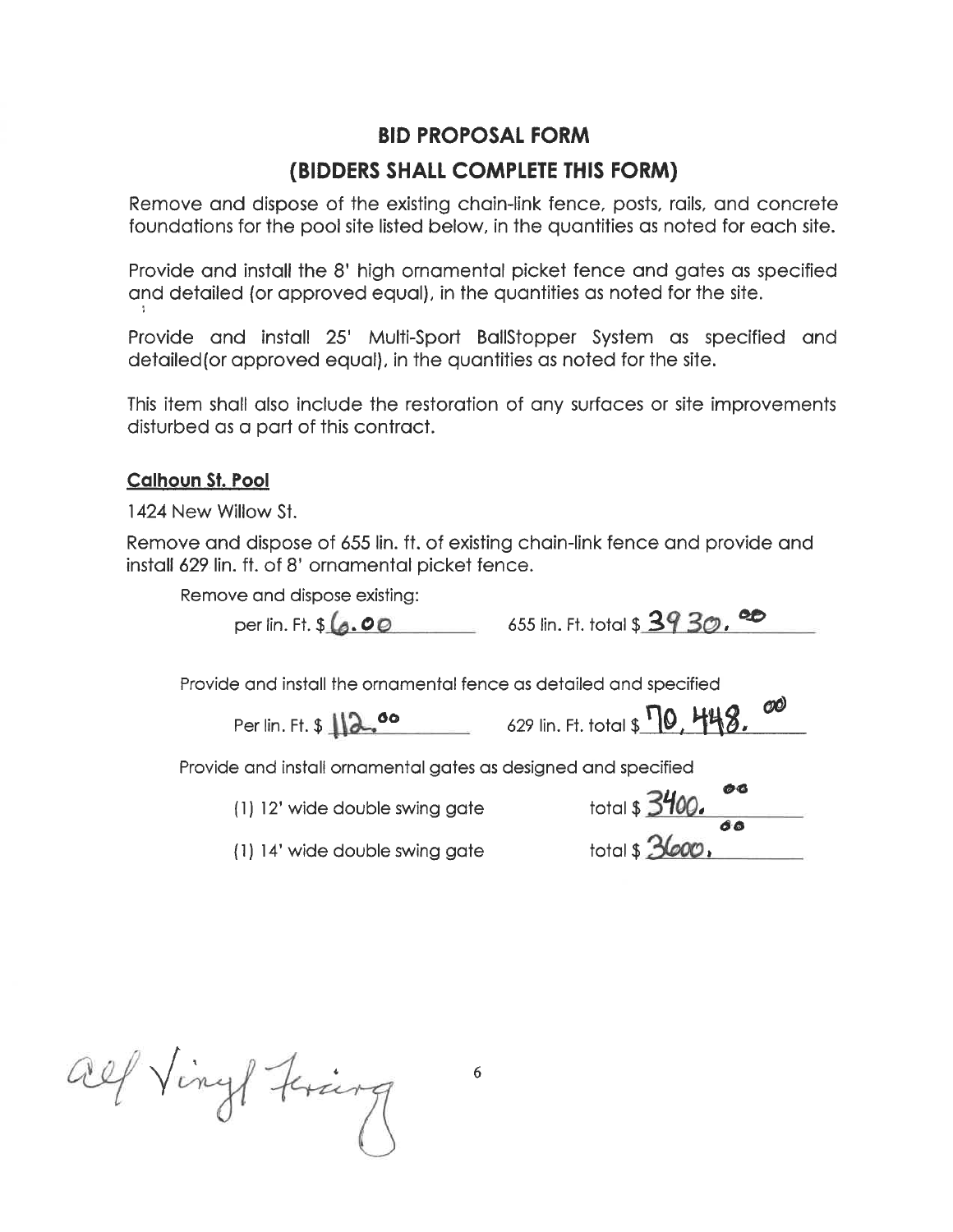Remove and dispose of the existing chain-link fence, posts, rails, and concrete foundations for the pool site listed below, in the quantities as noted for each site.

Provide and install the 8' high ornamental picket fence and gates as specified and detailed (or approved equal), in the quantities as noted for the site.

Provide and install 25' Multi-Sport BallStopper System as specified and detailed (or approved equal), in the quantities as noted for the site.

This item shall also include the restoration of any surfaces or site improvements disturbed as a part of this contract.

#### **Calhoun St. Pool**

1424 New Willow St.

Remove and dispose of 655 lin. ft. of existing chain-link fence and provide and install 629 lin. ft. of 8' ornamental picket fence.

Remove and dispose existing:

per lin. Ft. \$ (6.00 655 lin. Ft. total \$ 39 30.00

Provide and install the ornamental fence as detailed and specified

Per lin. Ft. \$ 12.00 629 lin. Ft. total \$ 10, 448.

Provide and install ornamental gates as designed and specified

(1) 12' wide double swing gate

(1) 14' wide double swing gate

| total \$ 3400. | 69 C. |
|----------------|-------|
|                |       |
|                | 66    |
| total \$ 3600. |       |

 $O<sup>O</sup>$ 

all Vingt Frang

6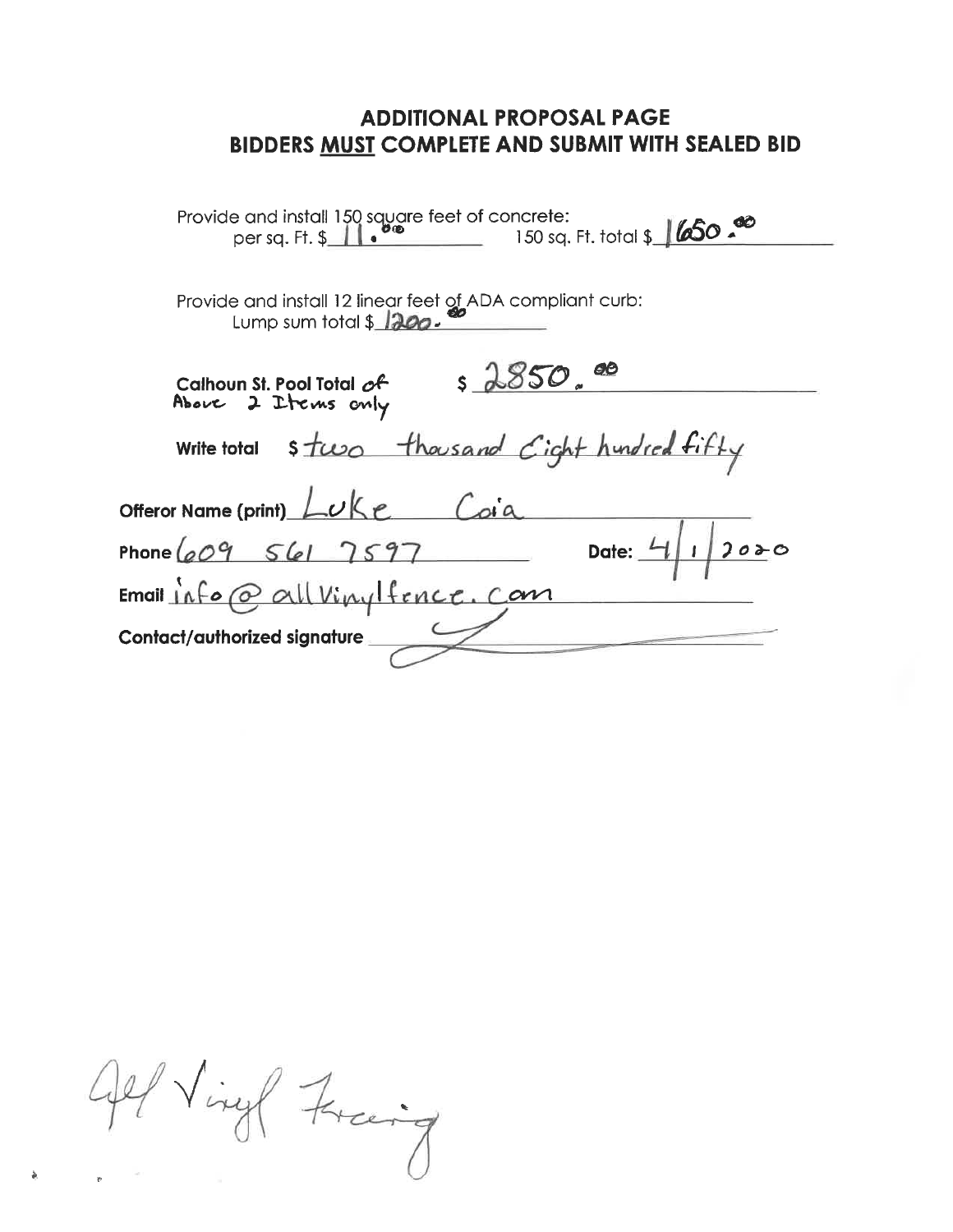| Provide and install 150 square feet of concrete:<br>150 sq. Ft. total \$ 650.00<br>O®<br>$per$ sa. Ft. $\frac{1}{2}$ |
|----------------------------------------------------------------------------------------------------------------------|
|                                                                                                                      |
| Provide and install 12 linear feet of ADA compliant curb:<br>Lump sum total $$1200$ .                                |
| \$2850.0<br>Calhoun St. Pool Total of<br>Above 2 Items only                                                          |
| stwo thousand Cight hundred fifty<br><b>Write total</b>                                                              |
| Offeror Name (print) Luke<br>$\sqrt{a}$                                                                              |
| Phone $609$ $561$ $7597$<br>Date: $\frac{l}{l}$<br>2000                                                              |
| $Email$ $Afo$ $Q$ all $Viny$ fence. Com                                                                              |
| Contact/authorized signature                                                                                         |

All Virgel Freeig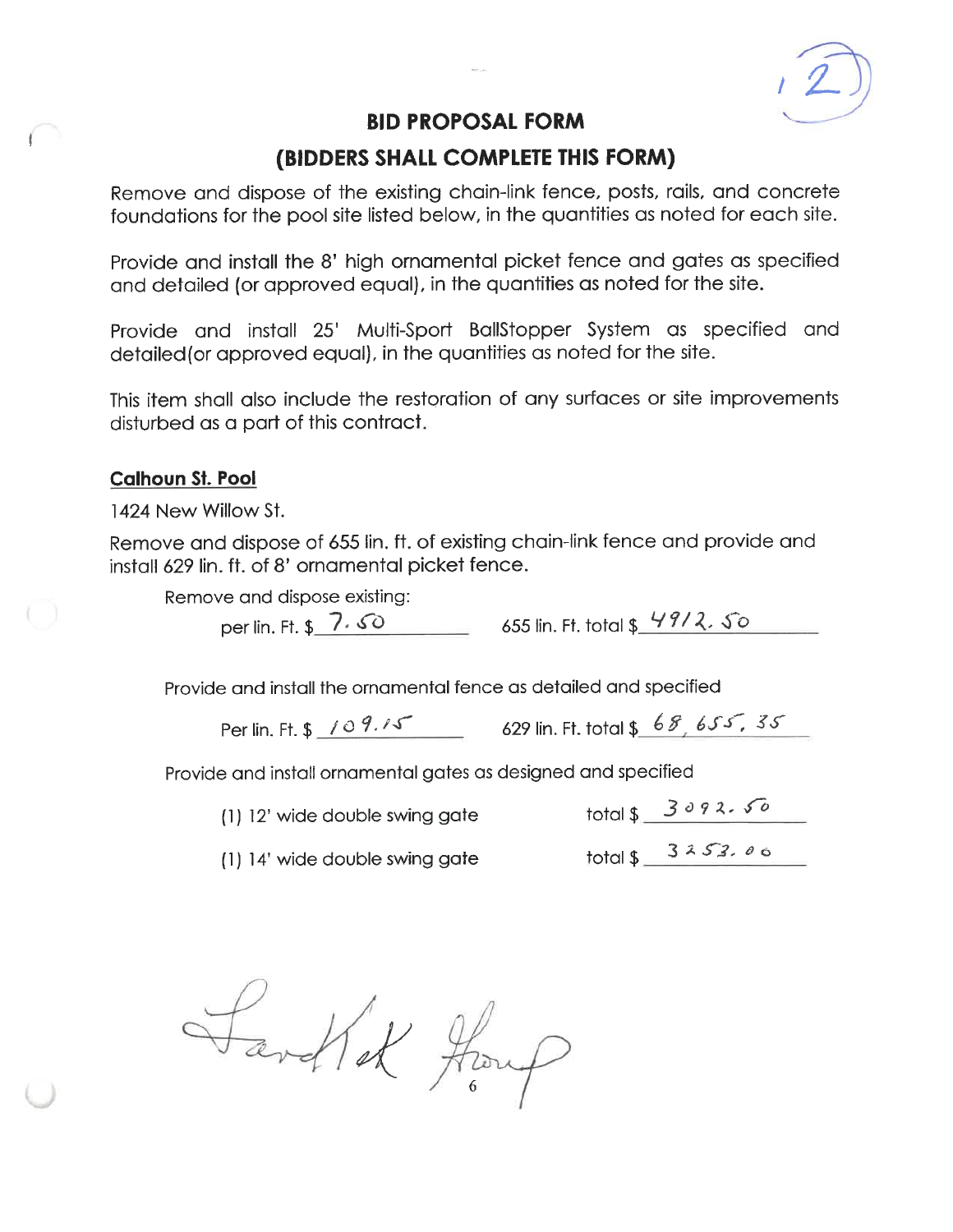

## (BIDDERS SHALL COMPLETE THIS FORM)

Remove and dispose of the existing chain-link fence, posts, rails, and concrete foundations for the pool site listed below, in the quantities as noted for each site.

Provide and install the 8' high ornamental picket fence and gates as specified and detailed (or approved equal), in the quantities as noted for the site.

Provide and install 25' Multi-Sport BallStopper System as specified and detailed (or approved equal), in the quantities as noted for the site.

This item shall also include the restoration of any surfaces or site improvements disturbed as a part of this contract.

#### **Calhoun St. Pool**

1424 New Willow St.

Remove and dispose of 655 lin. ft. of existing chain-link fence and provide and install 629 lin. ft. of 8' ornamental picket fence.

Remove and dispose existing:

per lin. Ft. \$ 7.50 655 lin. Ft. total \$ 4912.50

Provide and install the ornamental fence as detailed and specified

Per lin. Ft. \$ 109.15 629 lin. Ft. total \$ 68,655,35

Provide and install ornamental gates as designed and specified

(1) 12' wide double swing gate

 $total $3092.50$ 

(1) 14' wide double swing gate

 $total $3253.06$ 

Fartlet Houp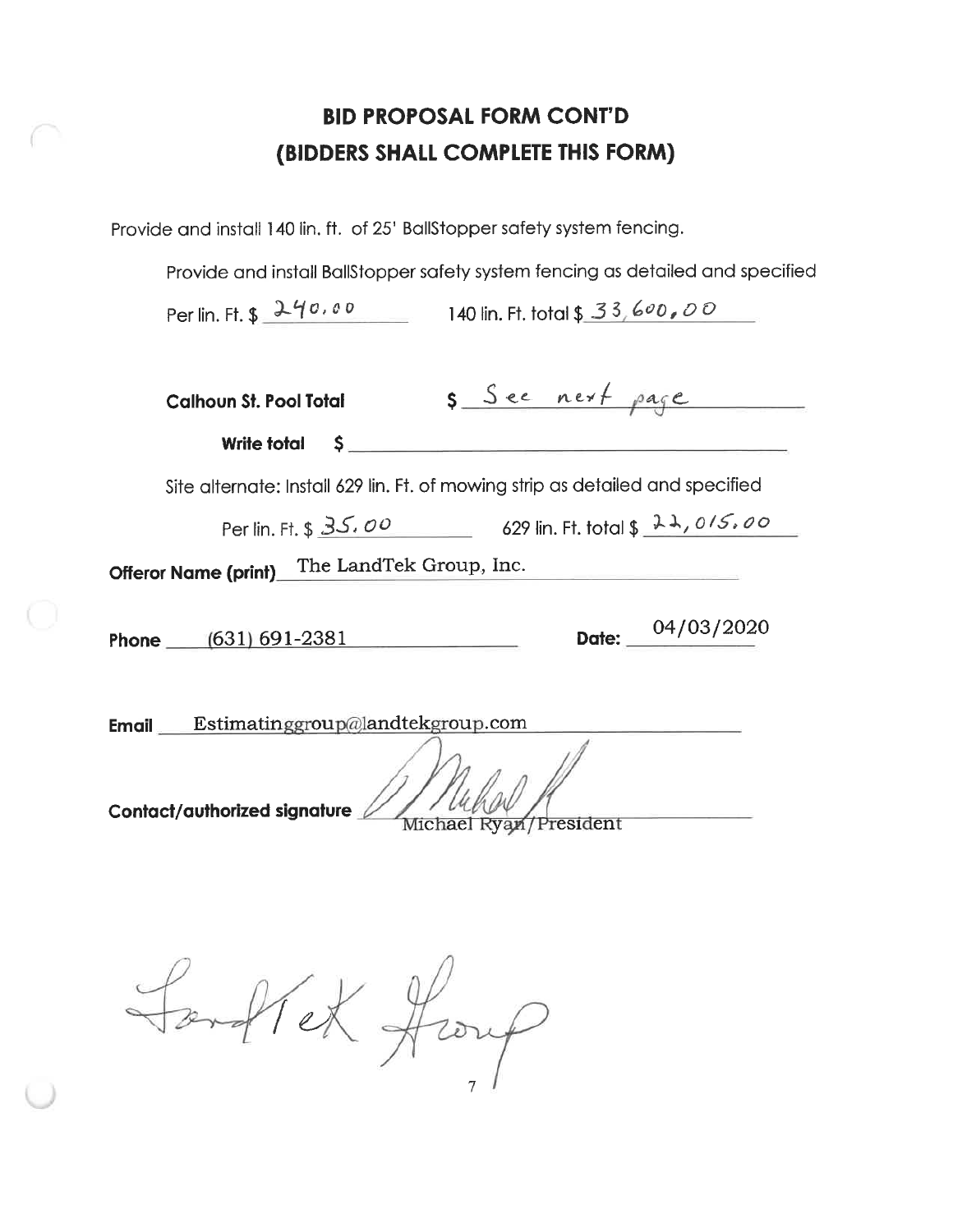Provide and install 140 lin. ft. of 25' BallStopper safety system fencing.

Provide and install BallStopper safety system fencing as detailed and specified

Per lin. Ft. \$ 240.00 140 lin. Ft. total \$ 33,600,00

| s See next page<br><b>Calhoun St. Pool Total</b>                                                          |
|-----------------------------------------------------------------------------------------------------------|
| Write total<br>$S_{\rm max}$                                                                              |
| Site alternate: Install 629 lin. Ft. of mowing strip as detailed and specified                            |
| Per lin. Ft. \$ 35.00 629 lin. Ft. total \$ 22,015.00                                                     |
| The LandTek Group, Inc.<br><b>Offeror Name (print)</b>                                                    |
| Date: $04/03/2020$<br>Phone (631) 691-2381                                                                |
| <b>Email</b> Estimatinggroup@landtekgroup.com<br>Contact/authorized signature<br>Michael Ryan / President |

Southet Houp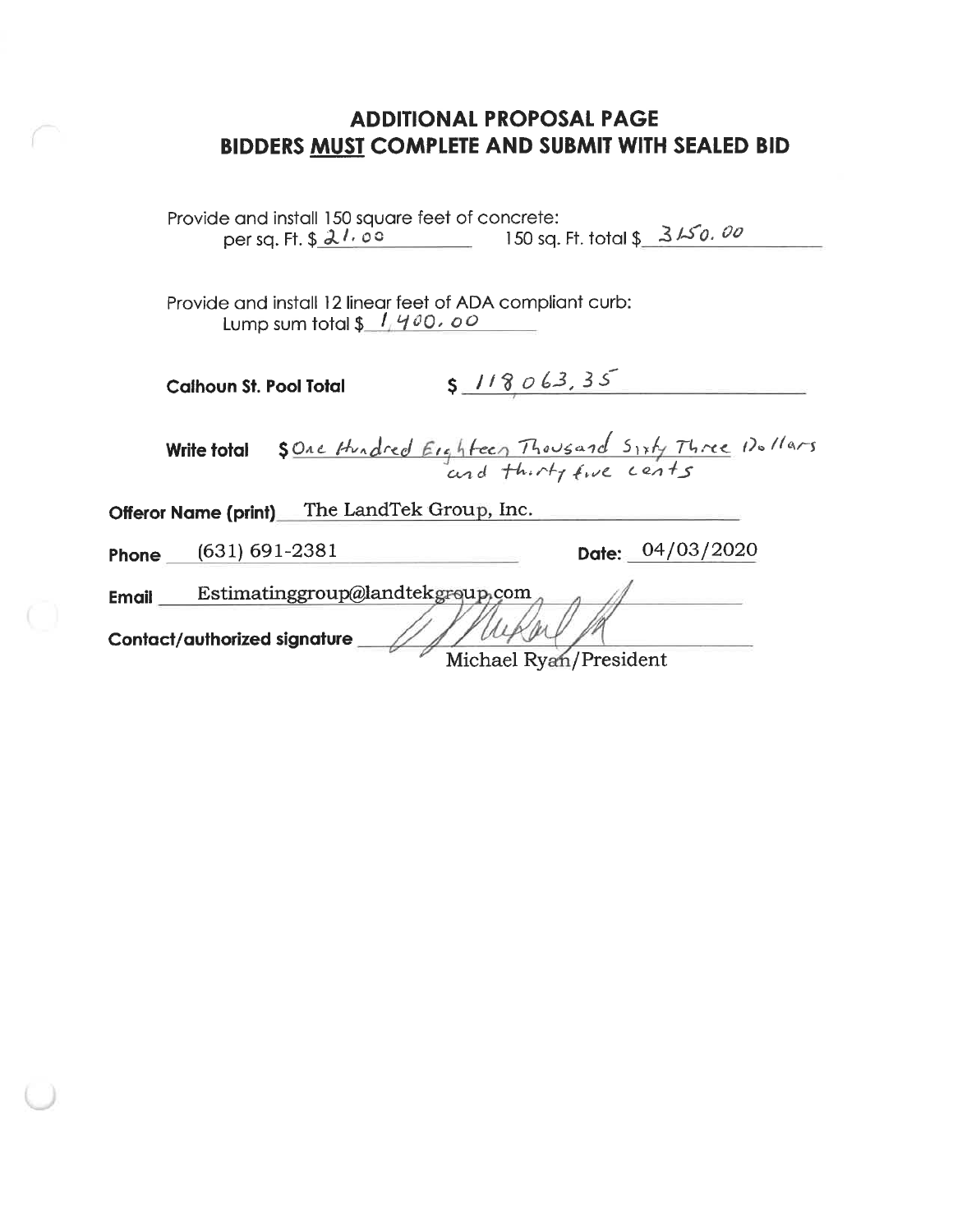| Provide and install 150 square feet of concrete:<br>150 sq. Ft. total \$ 3150.00<br>per sq. Ft. $$21.00$      |                  |
|---------------------------------------------------------------------------------------------------------------|------------------|
| Provide and install 12 linear feet of ADA compliant curb:<br>Lump sum total $\frac{1}{4}$ $\frac{400}{00}$ oo |                  |
| 5 118063, 35<br><b>Calhoun St. Pool Total</b>                                                                 |                  |
| \$ One Hundred Eighteen Thousand Sixty Three 12.11ars<br><b>Write total</b>                                   |                  |
| The LandTek Group, Inc.<br><b>Offeror Name (print)</b>                                                        |                  |
| $(631) 691 - 2381$<br>Phone                                                                                   | Date: 04/03/2020 |
| Estimatinggroup@landtekgroup.com<br><b>Email</b>                                                              |                  |
| Contact/authorized signature<br>Michael Ryan/President                                                        |                  |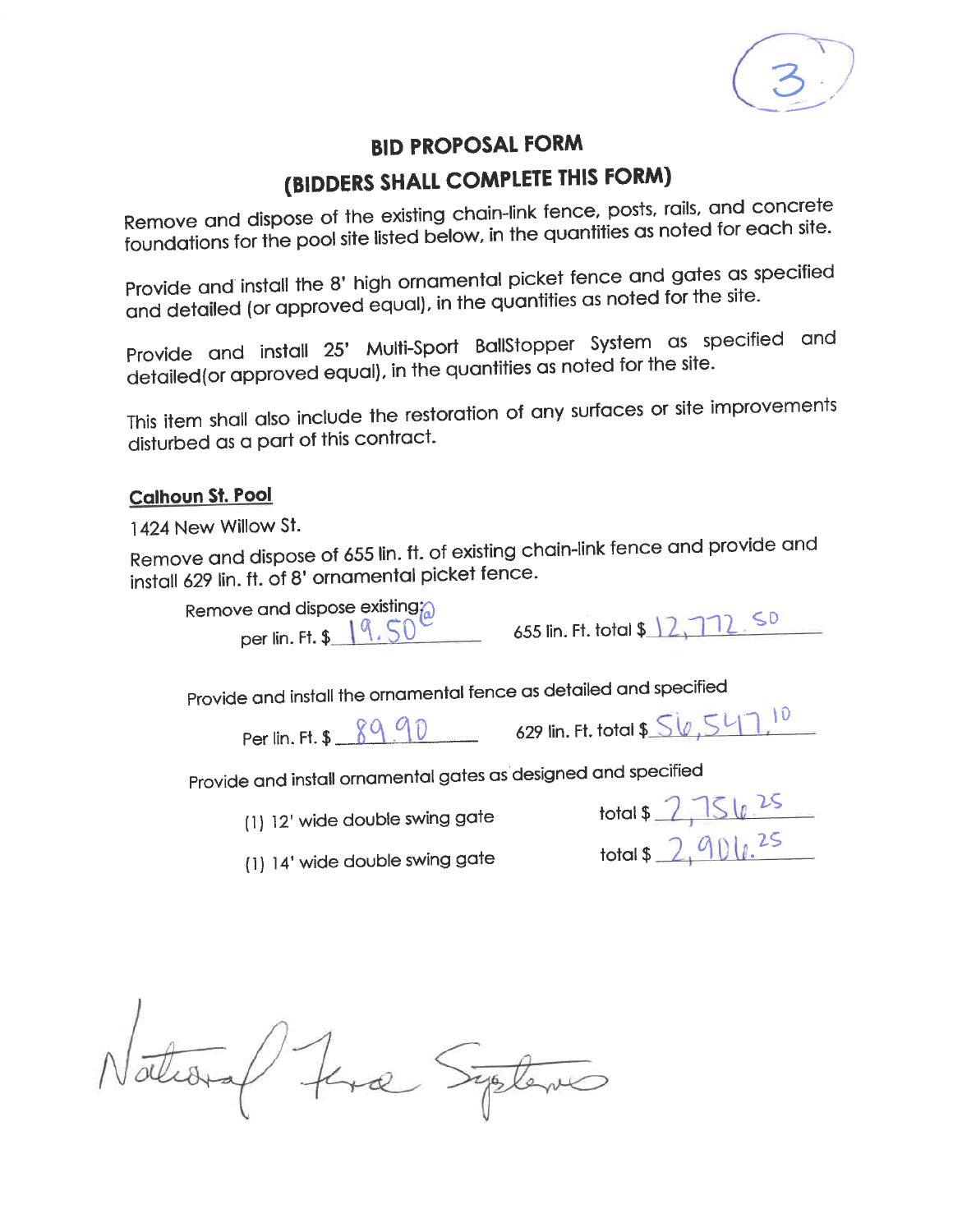# (BIDDERS SHALL COMPLETE THIS FORM)

Remove and dispose of the existing chain-link fence, posts, rails, and concrete foundations for the pool site listed below, in the quantities as noted for each site.

Provide and install the 8' high ornamental picket fence and gates as specified and detailed (or approved equal), in the quantities as noted for the site.

Provide and install 25' Multi-Sport BallStopper System as specified and detailed (or approved equal), in the quantities as noted for the site.

This item shall also include the restoration of any surfaces or site improvements disturbed as a part of this contract.

#### **Calhoun St. Pool**

1424 New Willow St.

Remove and dispose of 655 lin. ft. of existing chain-link fence and provide and install 629 lin. ft. of 8' ornamental picket fence.

| Remove and dispose existing $\alpha$<br>per lin. Ft. \$ 4.50 |  |
|--------------------------------------------------------------|--|

| 655 lin. Ft. total \$ 2,772 SU |  |  |  |  |  |
|--------------------------------|--|--|--|--|--|
|--------------------------------|--|--|--|--|--|

Provide and install the ornamental fence as detailed and specified

Per lin. Ft. \$ 8990 629 lin. Ft. total \$ 56,547,10

Provide and install ornamental gates as designed and specified

(1) 12' wide double swing gate

| total \$ |  |
|----------|--|
| total \$ |  |

(1) 14' wide double swing gate

National Fina Systems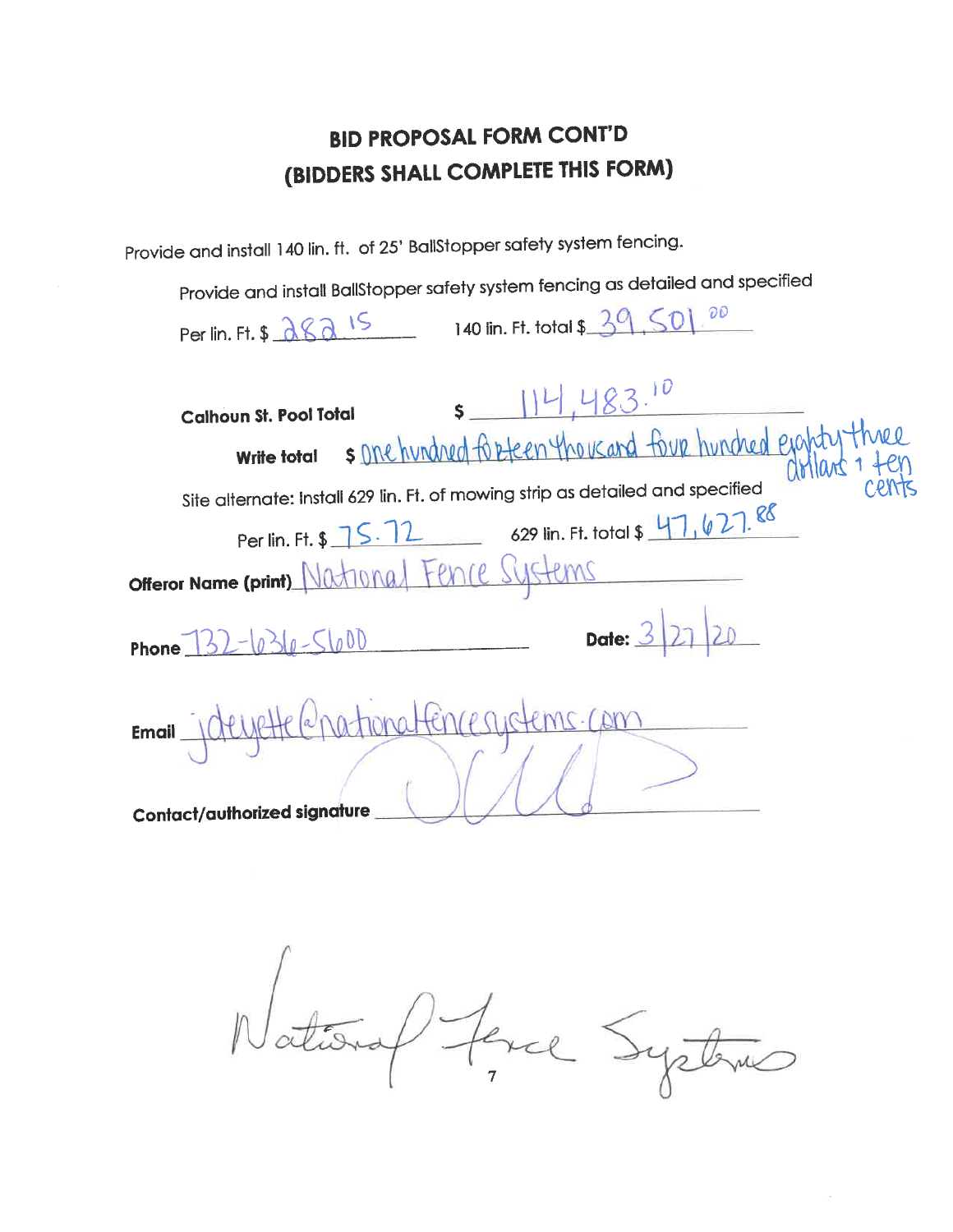Provide and install 140 lin. ft. of 25' BallStopper safety system fencing.

Provide and install BallStopper safety system fencing as detailed and specified

| Per lin. Ft. \$ 282 15 140 lin. Ft. total \$ 39, 50, 20                                                                                                                                                              |
|----------------------------------------------------------------------------------------------------------------------------------------------------------------------------------------------------------------------|
| $s$ 114.483.10<br><b>Calhoun St. Pool Total</b><br>s one hundred for teen thousand four hundred ejapty three<br><b>Write total</b><br>Site alternate: install 629 lin. Ft. of mowing strip as detailed and specified |
| Per lin. Ft. \$ 75.72 629 lin. Ft. total \$ 47, 627.88<br>offeror Name (print) National Fence Systems                                                                                                                |
| Date: $3 21 20$<br>Phone $132 - 636 - 5600$                                                                                                                                                                          |
| Email juliette (a patronatence systems.com<br><b>Contact/authorized signature</b>                                                                                                                                    |

National ferce Systems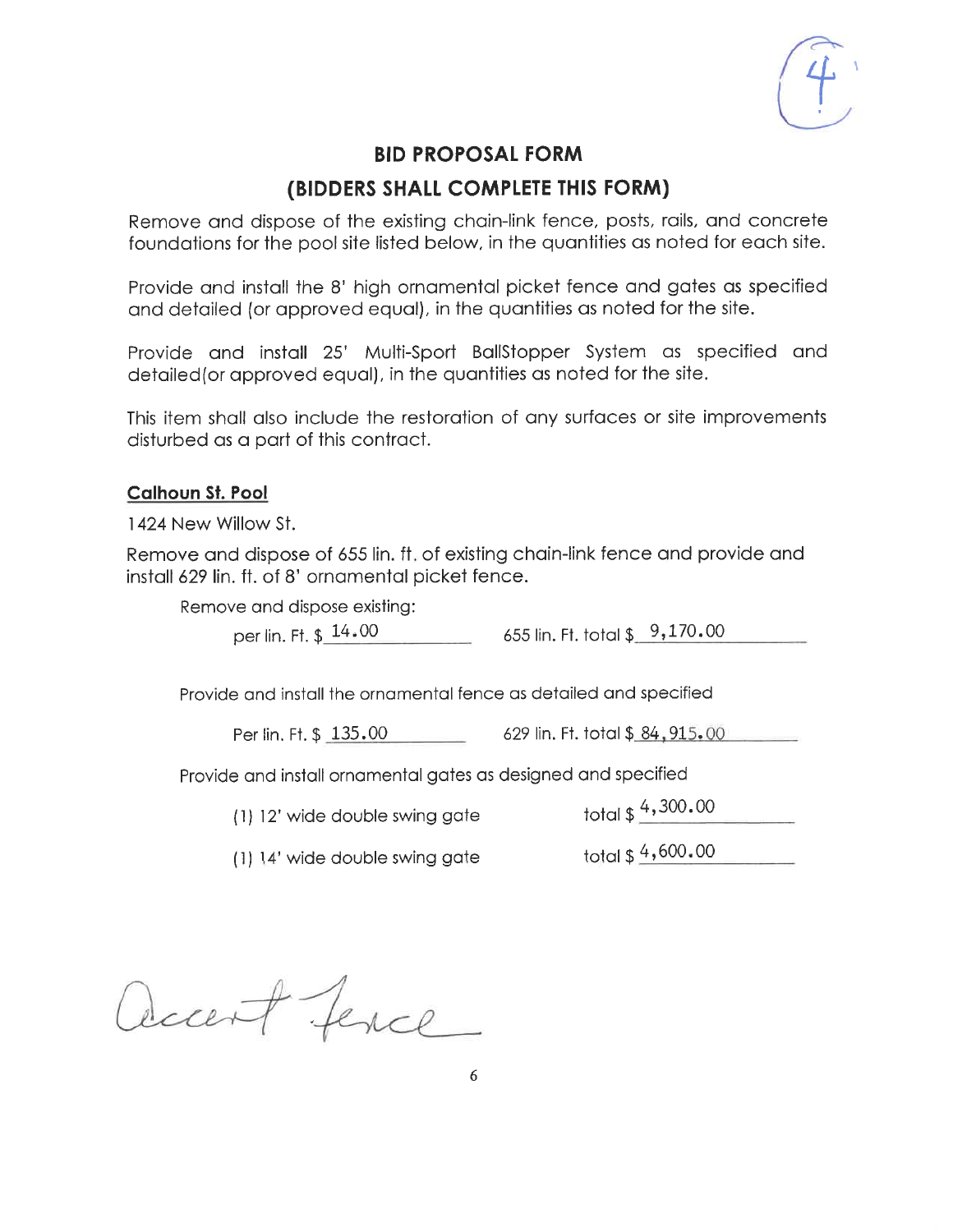#### (BIDDERS SHALL COMPLETE THIS FORM)

Remove and dispose of the existing chain-link fence, posts, rails, and concrete foundations for the pool site listed below, in the quantities as noted for each site.

Provide and install the 8' high ornamental picket fence and gates as specified and detailed (or approved equal), in the quantities as noted for the site.

Provide and install 25' Multi-Sport BallStopper System as specified and detailed (or approved equal), in the quantities as noted for the site.

This item shall also include the restoration of any surfaces or site improvements disturbed as a part of this contract.

#### **Calhoun St. Pool**

1424 New Willow St.

Remove and dispose of 655 lin. ft, of existing chain-link fence and provide and install 629 lin. ft. of 8' ornamental picket fence.

Remove and dispose existing:

per lin. Ft. \$ 14.00

655 lin. Ft. total  $$9,170.00$ 

Provide and install the ornamental fence as detailed and specified

 $629$  lin. Ft. total  $$84,915,00$ Per lin, Ft, \$ 135.00

Provide and install ornamental gates as designed and specified

(1) 12' wide double swing gate

total \$ 4,300.00

total \$4,600.00 (1) 14' wide double swing gate

accent fence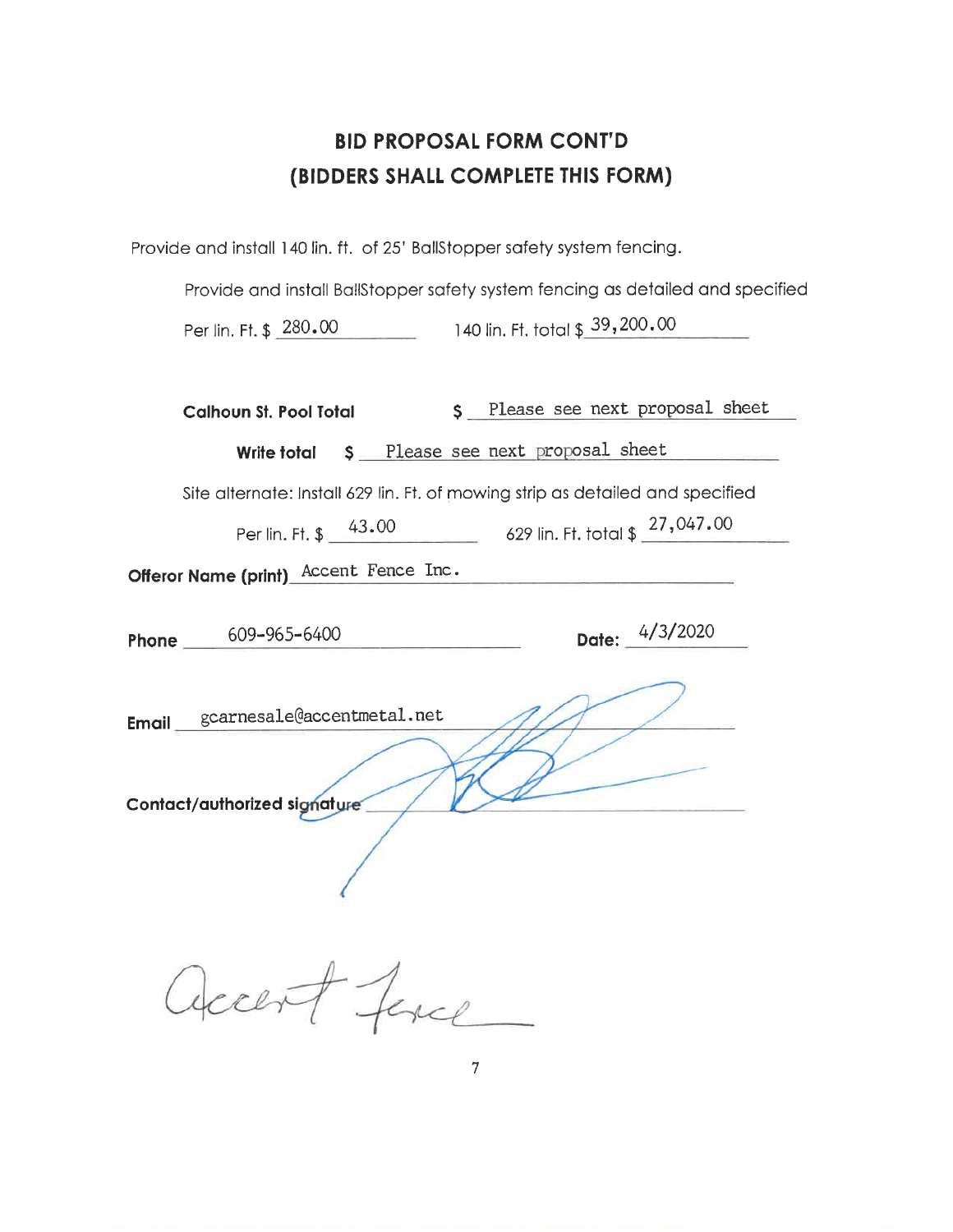Provide and install 140 lin. ft. of 25' BallStopper safety system fencing.

Provide and install BallStopper safety system fencing as detailed and specified Per lin. Ft. \$ 280.00 140 lin. Ft. total \$ 39,200.00

| \$ Please see next proposal sheet<br>Calhoun St. Pool Total                         |
|-------------------------------------------------------------------------------------|
| Write total \$ Please see next proposal sheet                                       |
| Site alternate: Install 629 lin. Ft. of mowing strip as detailed and specified      |
| Per lin. Ft. $\frac{43.00}{27,047.00}$ 629 lin. Ft. total \$ $\frac{27,047.00}{27}$ |
| Offeror Name (print)_Accent_Fence_Inc.                                              |
| Date: 4/3/2020<br>Phone $\frac{609-965-6400}{2}$                                    |
| Email gcarnesale@accentmetal.net<br>Contact/authorized signature                    |
| I les                                                                               |

 $\overline{7}$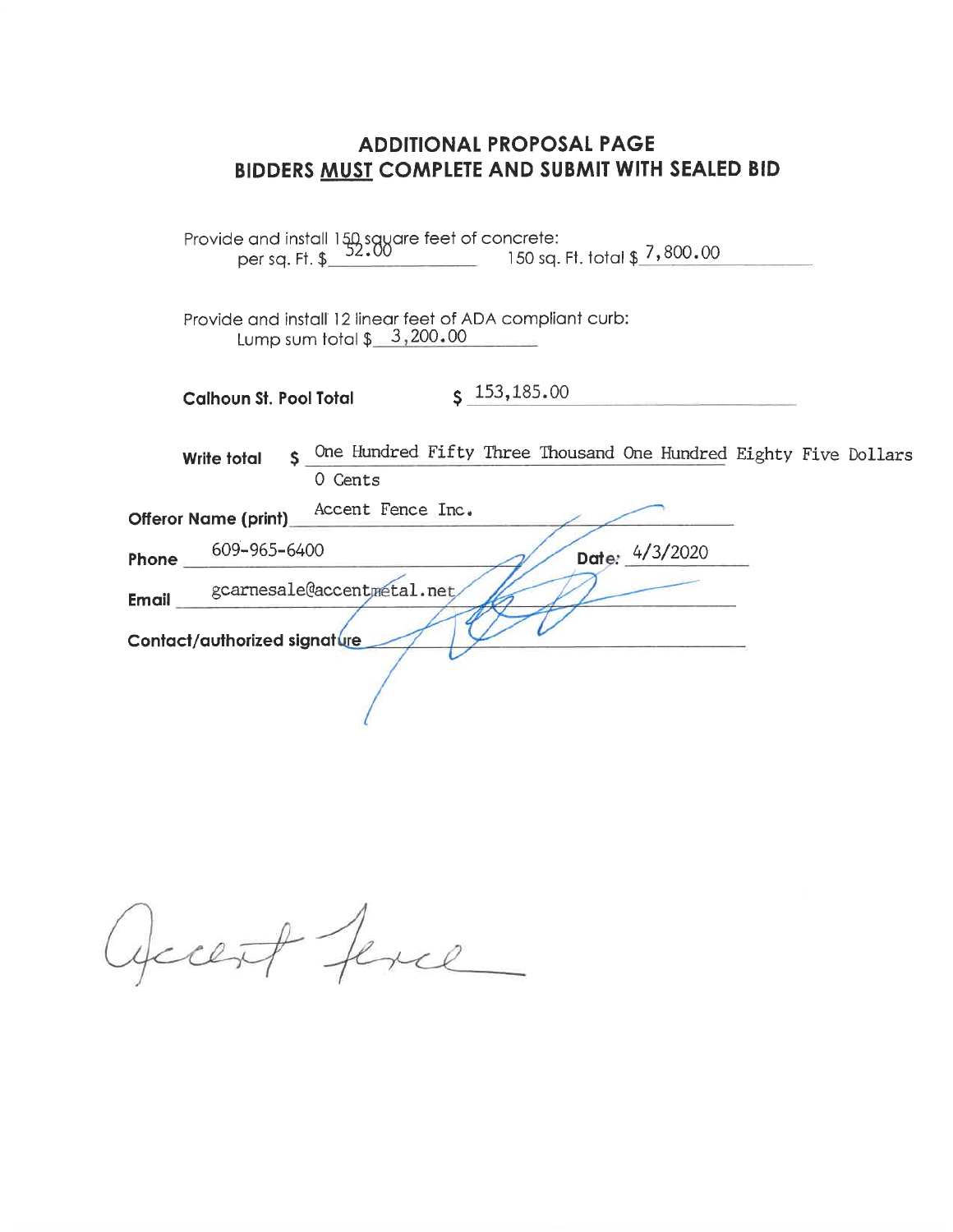| 150 sq. Ft. total \$_7,800.00                                                                           |
|---------------------------------------------------------------------------------------------------------|
| Provide and install 12 linear feet of ADA compliant curb:<br>Lump sum total $$3,200.00$                 |
| $S$ 153,185.00<br><b>Calhoun St. Pool Total</b>                                                         |
| One Hundred Fifty Three Thousand One Hundred Eighty Five Dollars<br>Š.<br><b>Write total</b><br>0 Cents |
| Accent Fence Inc.<br><b>Offeror Name (print)</b>                                                        |
| 609-965-6400<br>Date: 4/3/2020<br>Phone                                                                 |
| gcarnesale@accentmetal.net<br><b>Email</b><br>Contact/authorized signature                              |
|                                                                                                         |

Opcent ferce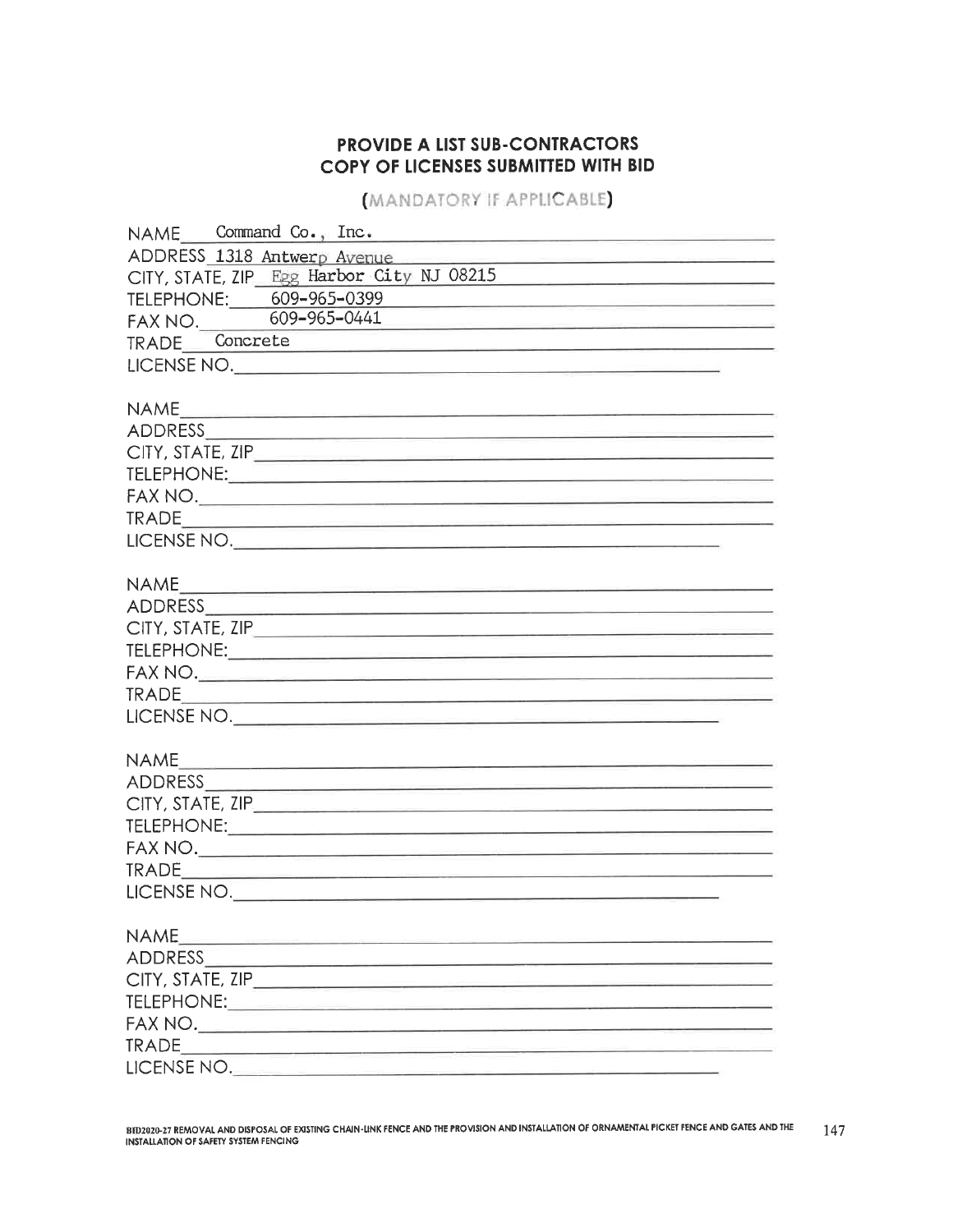## PROVIDE A LIST SUB-CONTRACTORS COPY OF LICENSES SUBMITTED WITH BID

**MANDATORY IF APPLICABLE** 

| NAME Command Co., Inc.<br><u> 1980 - Jan James James James James James James James James James James James James James James James James Ja</u> |
|-------------------------------------------------------------------------------------------------------------------------------------------------|
| ADDRESS 1318 Antwerp Avenue                                                                                                                     |
| CITY, STATE, ZIP Egg Harbor City NJ 08215                                                                                                       |
| TELEPHONE: 609-965-0399                                                                                                                         |
| FAX NO. 609-965-0441                                                                                                                            |
| TRADE Concrete<br><u> Santan di Kabupatén Bangguna Kabupatén Indonésia Kabupatén </u>                                                           |
|                                                                                                                                                 |
|                                                                                                                                                 |
|                                                                                                                                                 |
| ADDRESS ADDRESS                                                                                                                                 |
|                                                                                                                                                 |
|                                                                                                                                                 |
|                                                                                                                                                 |
|                                                                                                                                                 |
|                                                                                                                                                 |
|                                                                                                                                                 |
|                                                                                                                                                 |
|                                                                                                                                                 |
|                                                                                                                                                 |
|                                                                                                                                                 |
|                                                                                                                                                 |
|                                                                                                                                                 |
|                                                                                                                                                 |
|                                                                                                                                                 |
|                                                                                                                                                 |
|                                                                                                                                                 |
|                                                                                                                                                 |
|                                                                                                                                                 |
|                                                                                                                                                 |
|                                                                                                                                                 |
| LICENSE NO.                                                                                                                                     |
|                                                                                                                                                 |
| <b>NAME</b>                                                                                                                                     |
|                                                                                                                                                 |
|                                                                                                                                                 |
|                                                                                                                                                 |
|                                                                                                                                                 |
|                                                                                                                                                 |
| LICENSE NO.                                                                                                                                     |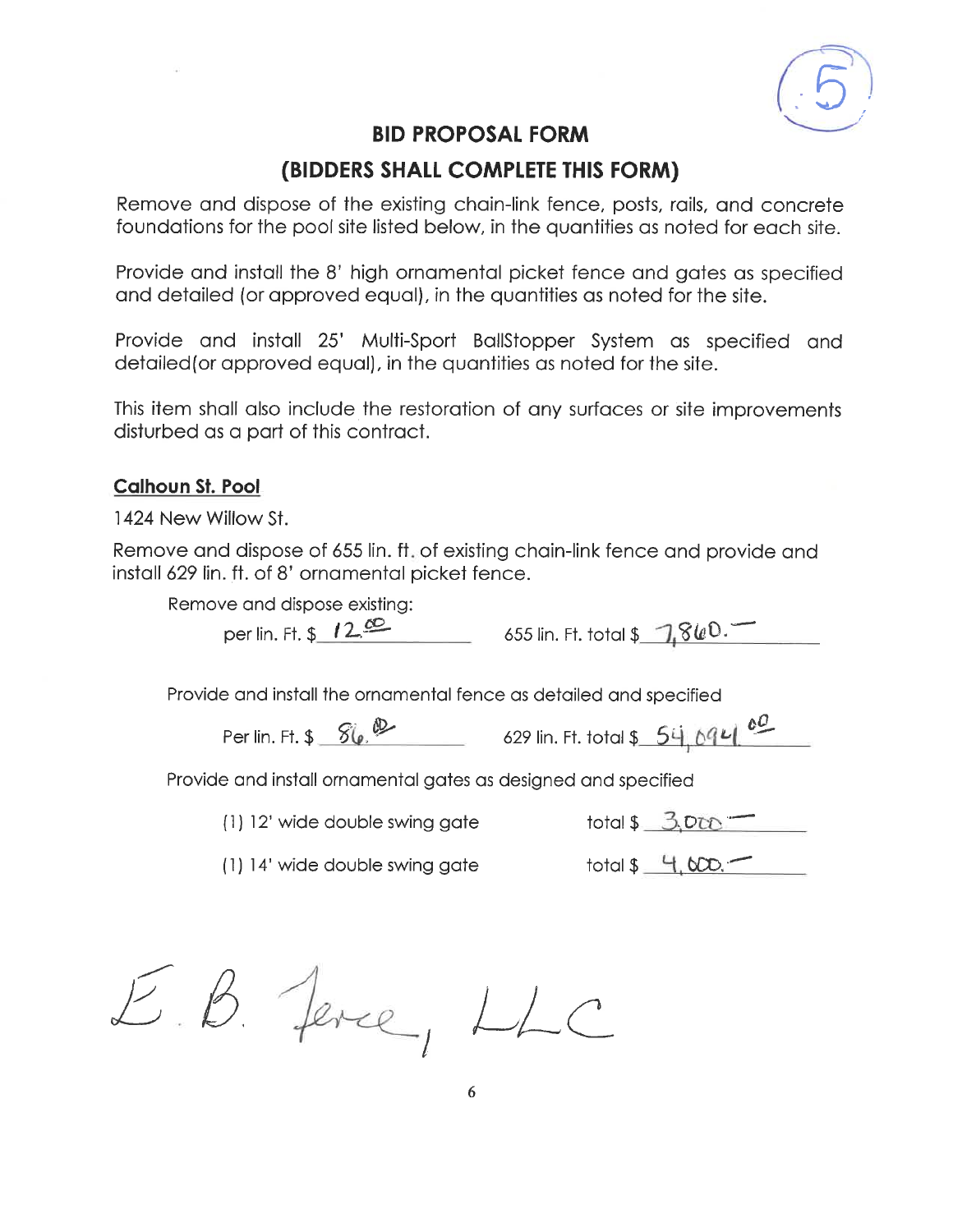

## (BIDDERS SHALL COMPLETE THIS FORM)

Remove and dispose of the existing chain-link fence, posts, rails, and concrete foundations for the pool site listed below, in the quantities as noted for each site.

Provide and install the 8' high ornamental picket fence and gates as specified and detailed (or approved equal), in the quantities as noted for the site.

Provide and install 25' Multi-Sport BallStopper System as specified and detailed (or approved equal), in the quantities as noted for the site.

This item shall also include the restoration of any surfaces or site improvements disturbed as a part of this contract.

#### **Calhoun St. Pool**

1424 New Willow St.

Remove and dispose of 655 lin. ft. of existing chain-link fence and provide and install 629 lin. ft. of 8' ornamental picket fence.

Remove and dispose existing:

per lin. Ft.  $$12^{\omega}$ 

655 lin. Ft. total \$ 7,860.

Provide and install the ornamental fence as detailed and specified

Per lin. Ft. \$ 86. D 629 lin. Ft. total \$ 54. 694 60

Provide and install ornamental gates as designed and specified

(1) 12' wide double swing gate

total  $$3.000 -$ 

(1) 14' wide double swing gate

 $total $4.000.$ 

E.B. Jerce, LLC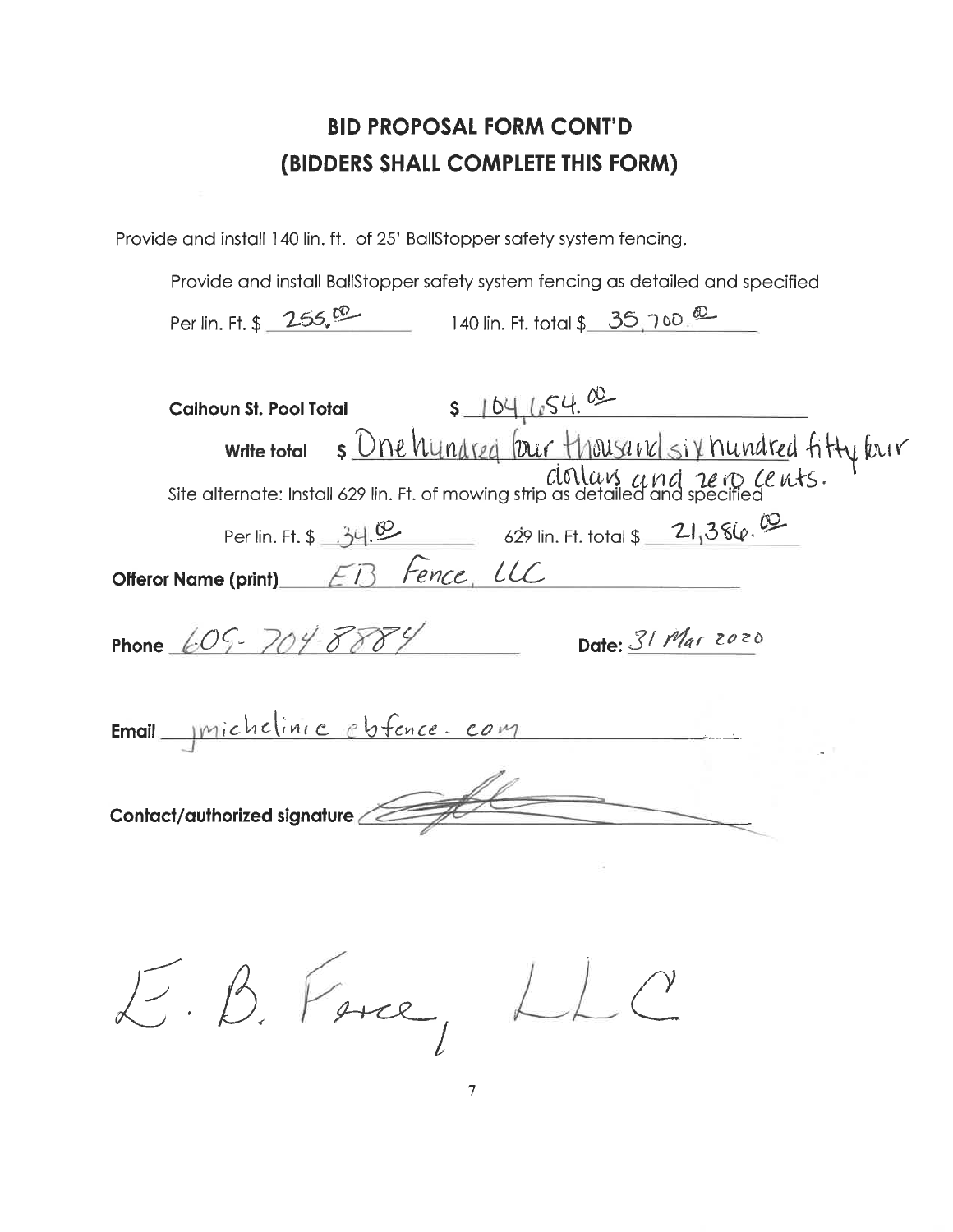Provide and install 140 lin. ft. of 25' BallStopper safety system fencing.

Provide and install BallStopper safety system fencing as detailed and specified

Per lin. Ft. \$ 255,<sup>00</sup> 140 lin. Ft. total \$ 35, 7 to <sup>00</sup>

| $5 - 104, 654.02$<br><b>Calhoun St. Pool Total</b>                                               |
|--------------------------------------------------------------------------------------------------|
| write total s <u>Dne hundred</u> four Housand six hundred fitty four<br>clonlars and rein cents. |
|                                                                                                  |
| Per lin. Ft. \$ 34.00 629 lin. Ft. total \$ 21,386.00                                            |
| EB Fence, LLC<br>Offeror Name (print)                                                            |
| Phone 605-704-8884<br>Date: 31 Mar 2020                                                          |
| Email michelinic ebfence. com                                                                    |
| Contact/authorized signature                                                                     |
|                                                                                                  |

E.B. Free, LLC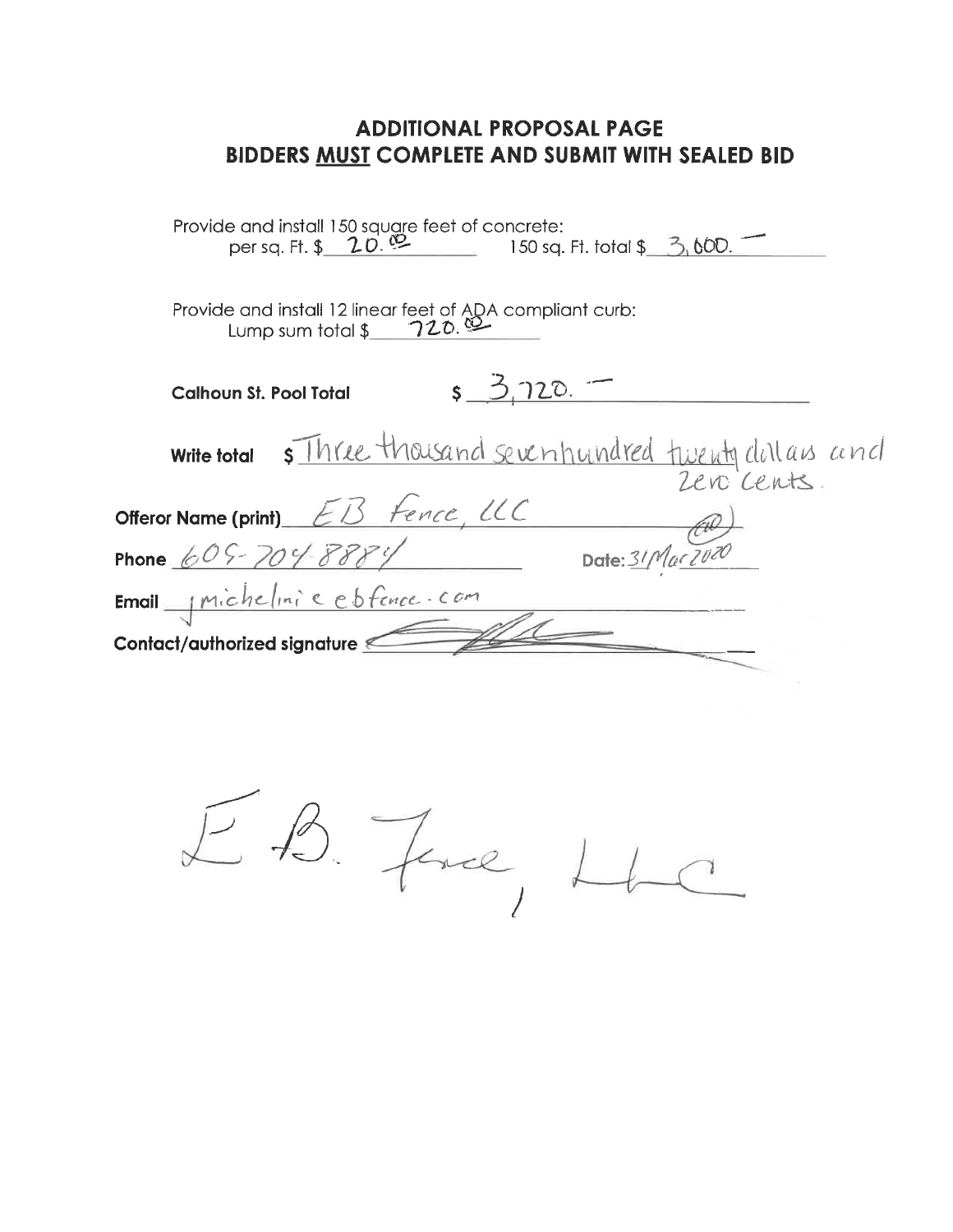| Provide and install 150 square feet of concrete:<br>per sq. Ft. $\frac{1}{2}$ $\frac{1}{2}$ $\frac{1}{2}$<br>150 sq. Ft. total $$3,600.$ |
|------------------------------------------------------------------------------------------------------------------------------------------|
|                                                                                                                                          |
| $s = 3.720$ .<br><b>Calhoun St. Pool Total</b>                                                                                           |
| <u>s Three thousand seventundred twenty</u> dollars and<br><b>Write total</b><br>Zero cents                                              |
| Offeror Name (print) EB Fence, UC                                                                                                        |
| Date: $31$ Mar 7020<br>Phone $605 - 704 - 88841$                                                                                         |
| Email Michelini e esfence com                                                                                                            |
| Contact/authorized signature                                                                                                             |

EB. Free, LLC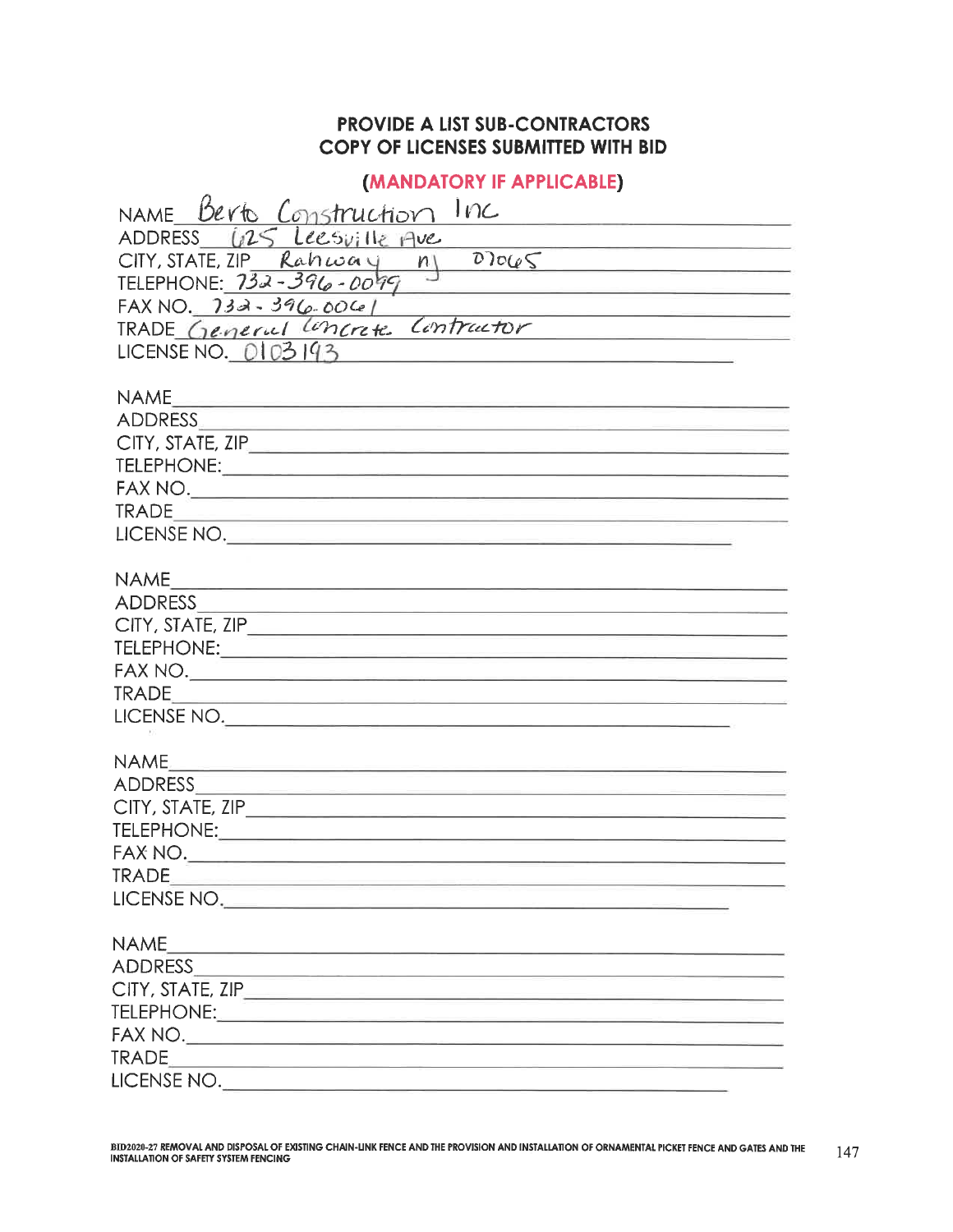### PROVIDE A LIST SUB-CONTRACTORS **COPY OF LICENSES SUBMITTED WITH BID**

### (MANDATORY IF APPLICABLE)

| NAME Berto Construction<br>Inc                                                                                                           |  |  |  |  |  |
|------------------------------------------------------------------------------------------------------------------------------------------|--|--|--|--|--|
| ADDRESS (125 Leesville Ave                                                                                                               |  |  |  |  |  |
| $D$ ) $0 \left( 65 \right)$<br>$CITY, STATE, ZIP\_Rahuouy n$                                                                             |  |  |  |  |  |
| TELEPHONE: 732-396-0099                                                                                                                  |  |  |  |  |  |
| <u> Andreas Andrew Maria (1989)</u><br>$FAXNO.$ 732-396-006/                                                                             |  |  |  |  |  |
| <u> Kanada (an ing mga mga sang</u><br>Contractor<br>TRADE General Loncrete                                                              |  |  |  |  |  |
| LICENSE NO. 0103193                                                                                                                      |  |  |  |  |  |
|                                                                                                                                          |  |  |  |  |  |
| <b>NAME</b><br><u> 1980 - Johann Barn, mars an t-Amerikaansk politiker (</u>                                                             |  |  |  |  |  |
|                                                                                                                                          |  |  |  |  |  |
|                                                                                                                                          |  |  |  |  |  |
|                                                                                                                                          |  |  |  |  |  |
|                                                                                                                                          |  |  |  |  |  |
| <b>TRADE</b>                                                                                                                             |  |  |  |  |  |
| LICENSE NO.                                                                                                                              |  |  |  |  |  |
|                                                                                                                                          |  |  |  |  |  |
| <b>NAME</b><br><u> 1989 - Johann Harry Harry Harry Harry Harry Harry Harry Harry Harry Harry Harry Harry Harry Harry Harry Harry</u>     |  |  |  |  |  |
| <b>ADDRESS</b><br><u> 1989 - Johann John Stone, market fan it ferskearre fan it ferskearre fan it ferskearre fan it ferskearre fan i</u> |  |  |  |  |  |
|                                                                                                                                          |  |  |  |  |  |
|                                                                                                                                          |  |  |  |  |  |
|                                                                                                                                          |  |  |  |  |  |
|                                                                                                                                          |  |  |  |  |  |
| LICENSE NO.                                                                                                                              |  |  |  |  |  |
|                                                                                                                                          |  |  |  |  |  |
| <b>NAME</b><br><u> 1980 - John Harrison, mars et al. (</u>                                                                               |  |  |  |  |  |
|                                                                                                                                          |  |  |  |  |  |
|                                                                                                                                          |  |  |  |  |  |
|                                                                                                                                          |  |  |  |  |  |
|                                                                                                                                          |  |  |  |  |  |
| <b>TRADE</b>                                                                                                                             |  |  |  |  |  |
| LICENSE NO.                                                                                                                              |  |  |  |  |  |
|                                                                                                                                          |  |  |  |  |  |
| <b>NAME</b><br><u> La componenta de la componenta de la componenta de la componenta de la componenta de la componenta de la compo</u>    |  |  |  |  |  |
|                                                                                                                                          |  |  |  |  |  |
|                                                                                                                                          |  |  |  |  |  |
|                                                                                                                                          |  |  |  |  |  |
|                                                                                                                                          |  |  |  |  |  |
|                                                                                                                                          |  |  |  |  |  |
| LICENSE NO.                                                                                                                              |  |  |  |  |  |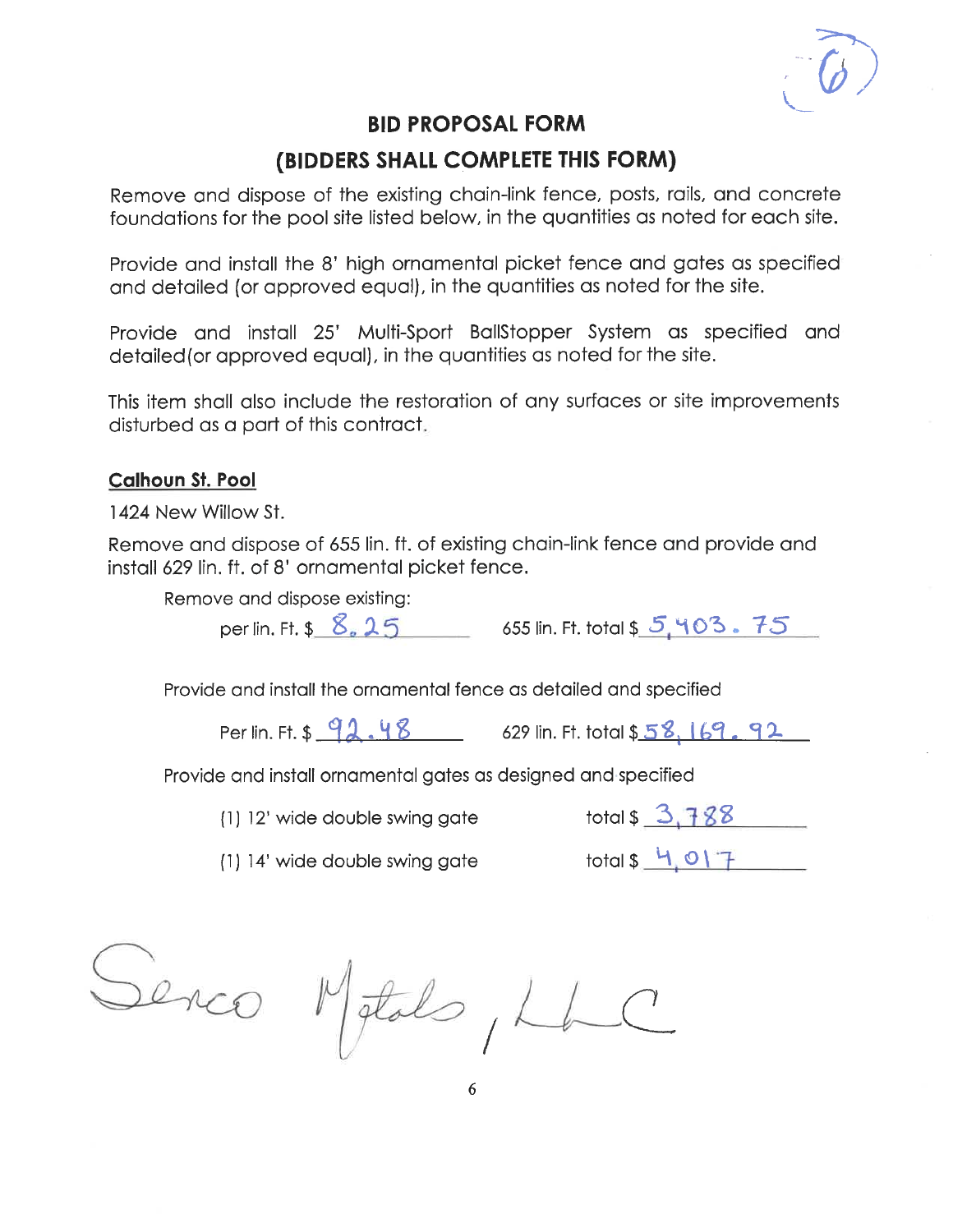## (BIDDERS SHALL COMPLETE THIS FORM)

Remove and dispose of the existing chain-link fence, posts, rails, and concrete foundations for the pool site listed below, in the quantities as noted for each site.

Provide and install the 8' high ornamental picket fence and gates as specified and detailed (or approved equal), in the quantities as noted for the site.

Provide and install 25' Multi-Sport BallStopper System as specified and detailed (or approved equal), in the quantities as noted for the site.

This item shall also include the restoration of any surfaces or site improvements disturbed as a part of this contract.

#### **Calhoun St. Pool**

1424 New Willow St.

Remove and dispose of 655 lin. ft. of existing chain-link fence and provide and install 629 lin. ft. of 8' ornamental picket fence.

Remove and dispose existing:

per lin. Ft. \$ 8. 25 655 lin. Ft. total \$ 5, 403. 75

Provide and install the ornamental fence as detailed and specified

Per lin. Ft. \$ 92. 48 629 lin. Ft. total \$ 58, 169. 92

Provide and install ornamental gates as designed and specified

(1) 12' wide double swing gate

total  $$3,788$ 

(1) 14' wide double swing gate

 $total $4.017$ 

Senco Metals, Lh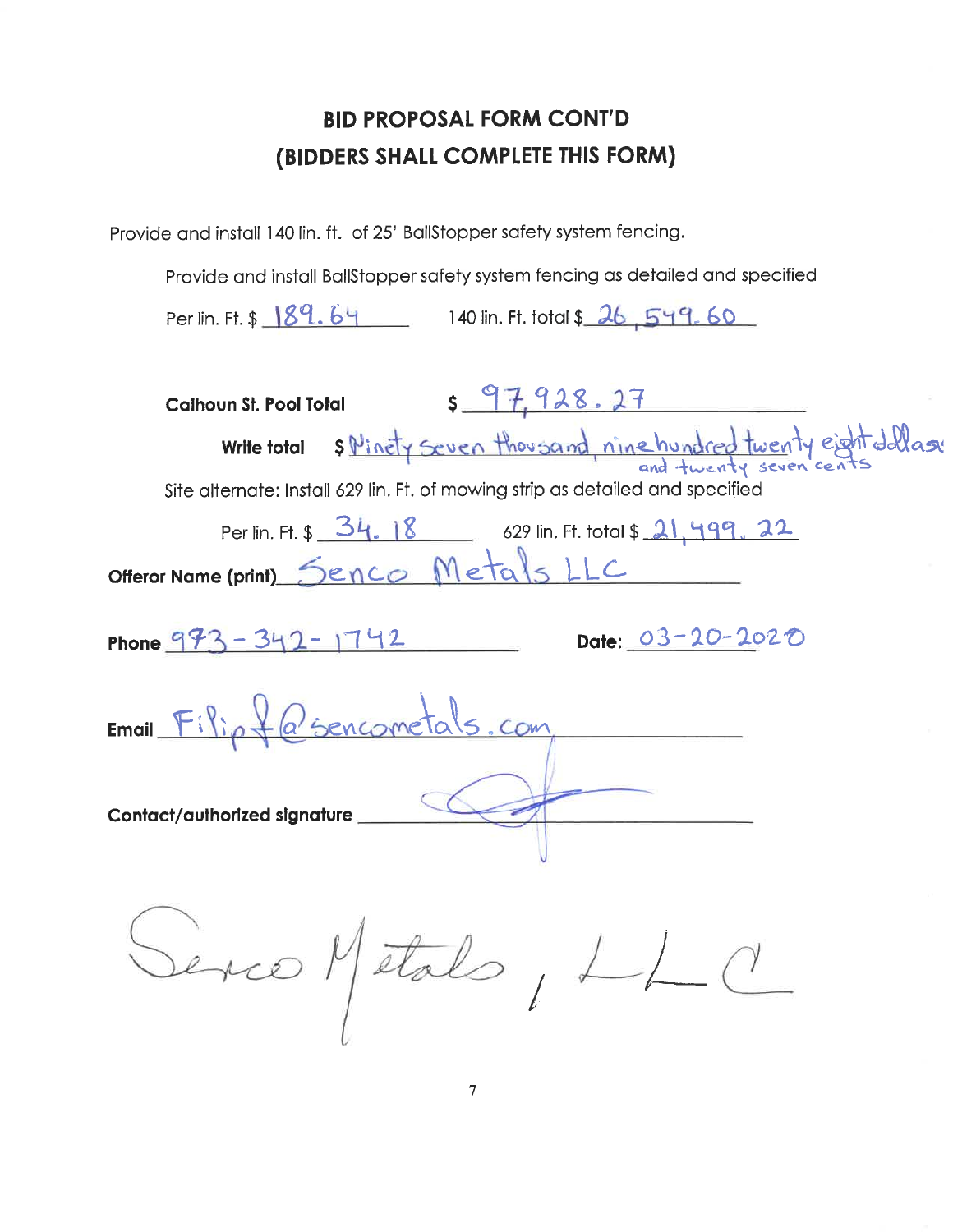Provide and install 140 lin. ft. of 25' BallStopper safety system fencing.

Provide and install BallStopper safety system fencing as detailed and specified

Per lin. Ft. \$ 189.64 140 lin. Ft. total \$ 26,549.60

| \$97,928.27<br><b>Calhoun St. Pool Total</b>                                   |
|--------------------------------------------------------------------------------|
| s Pinety seven thousand, nine hundred twenty eight dollars<br>Write total      |
| Site alternate: Install 629 lin. Ft. of mowing strip as detailed and specified |
| Per lin. Ft. \$ 34. 18 629 lin. Ft. total \$ 21, 499. 22                       |
| Offeror Name (print) Senco Metals LLC                                          |
| Date: 03-20-2020<br>Phone $973 - 342 - 1742$                                   |
| Email Filip + @ sencometals. com                                               |
| Contact/authorized signature_                                                  |
| Serco Metals, LLC                                                              |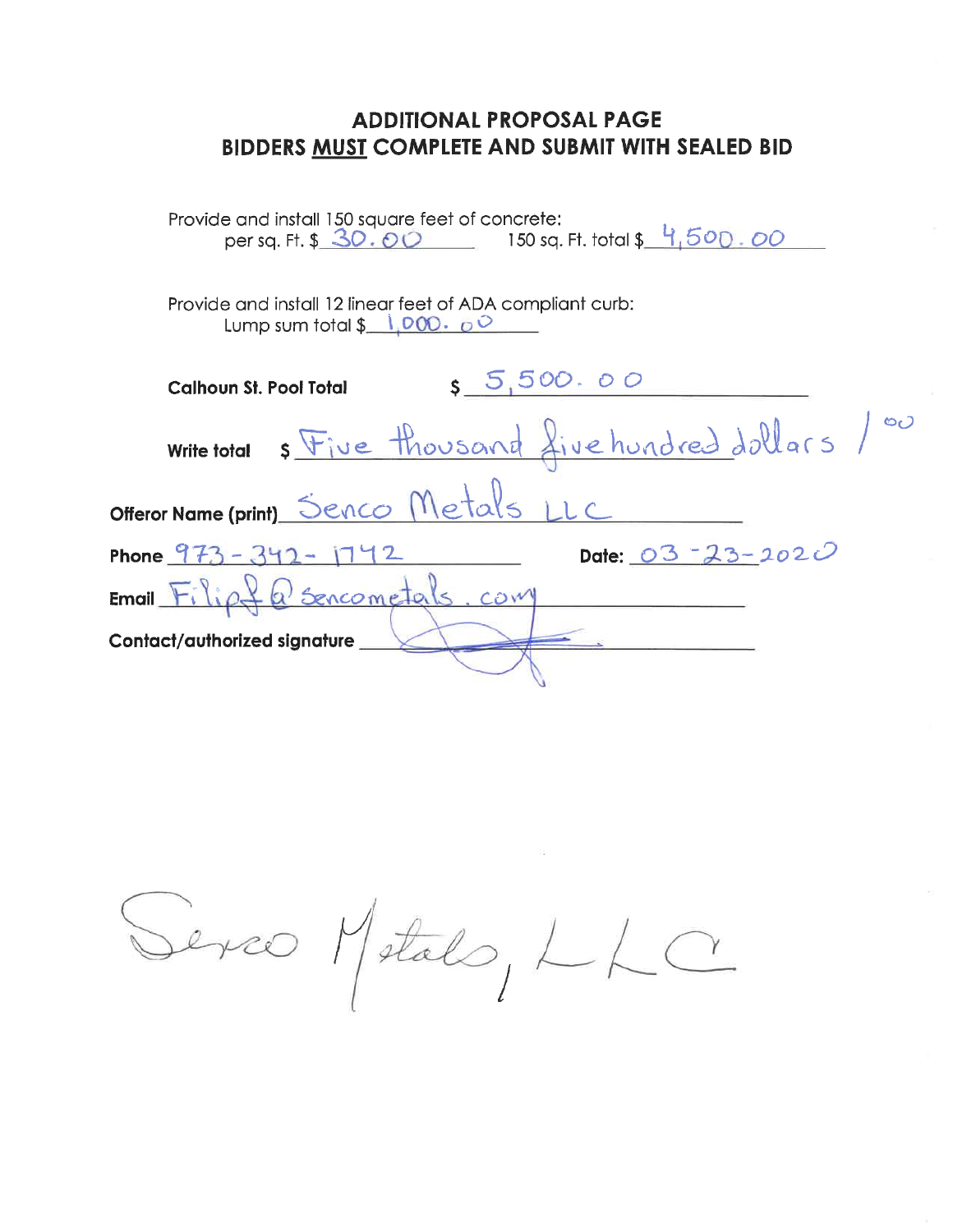| Provide and install 150 square feet of concrete:<br>per sq. Ft. \$ 30.00 150 sq. Ft. total \$ 4,500.00         |  |
|----------------------------------------------------------------------------------------------------------------|--|
| Provide and install 12 linear feet of ADA compliant curb:<br>Lump sum total $\frac{1}{2}$ 1,000. $\frac{1}{2}$ |  |
| 5,500.00<br><b>Calhoun St. Pool Total</b>                                                                      |  |
| s Five thousand five hundred dollars /00<br><b>Write total</b>                                                 |  |
| Offeror Name (print) Senco Metals LLC                                                                          |  |
| Date: 03 - 23 - 2020<br>Phone $973 - 342 -$                                                                    |  |
| fa sencometals. com<br>$Email$ $Fiio$                                                                          |  |
| <b>Contact/authorized signature</b>                                                                            |  |

Serco Metalo, LLC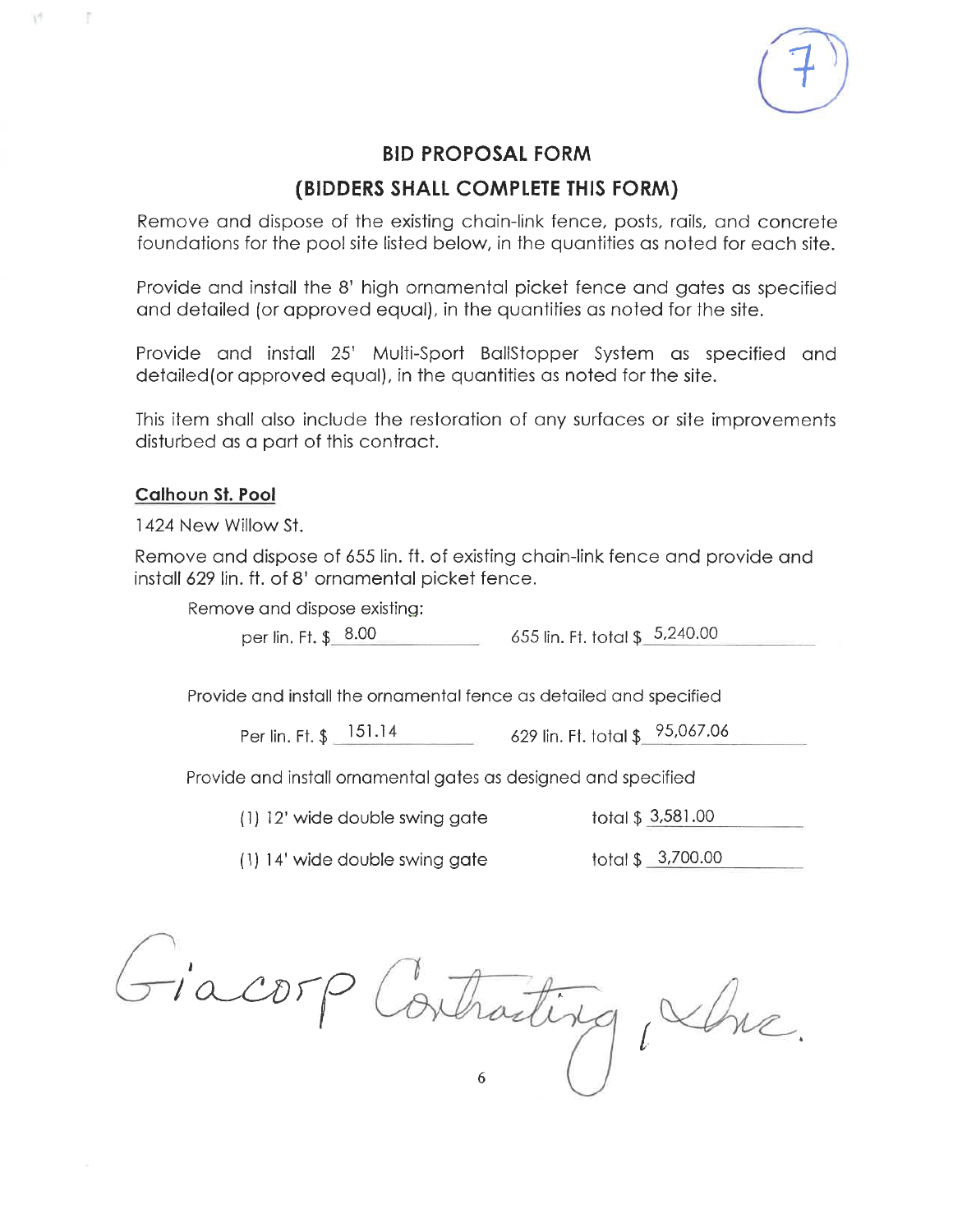

#### (BIDDERS SHALL COMPLETE THIS FORM)

Remove and dispose of the existing chain-link fence, posts, rails, and concrete foundations for the pool site listed below, in the quantities as noted for each site.

Provide and install the 8' high ornamental picket fence and gates as specified and detailed (or approved equal), in the quantities as noted for the site.

Provide and install 25' Multi-Sport BallStopper System as specified and detailed (or approved equal), in the quantities as noted for the site.

This item shall also include the restoration of any surfaces or site improvements disturbed as a part of this contract.

#### **Calhoun St. Pool**

 $\mathcal{C}^{\mathcal{C}}$  .

÷

1424 New Willow St.

Remove and dispose of 655 lin. ft. of existing chain-link fence and provide and install 629 lin. ft. of 8' ornamental picket fence.

Remove and dispose existing:

per lin. Ft. \$ 8.00 655 lin. Ft. total \$ 5.240.00

Provide and install the ornamental fence as detailed and specified

Per lin. Ft. \$ 151.14 629 lin. Ft. total \$ 95,067.06

Provide and install ornamental gates as designed and specified

(1) 12' wide double swing gate

total \$ 3,581.00

total \$\_3,700.00 (1) 14' wide double swing gate

Fiacorp Contracting, whe.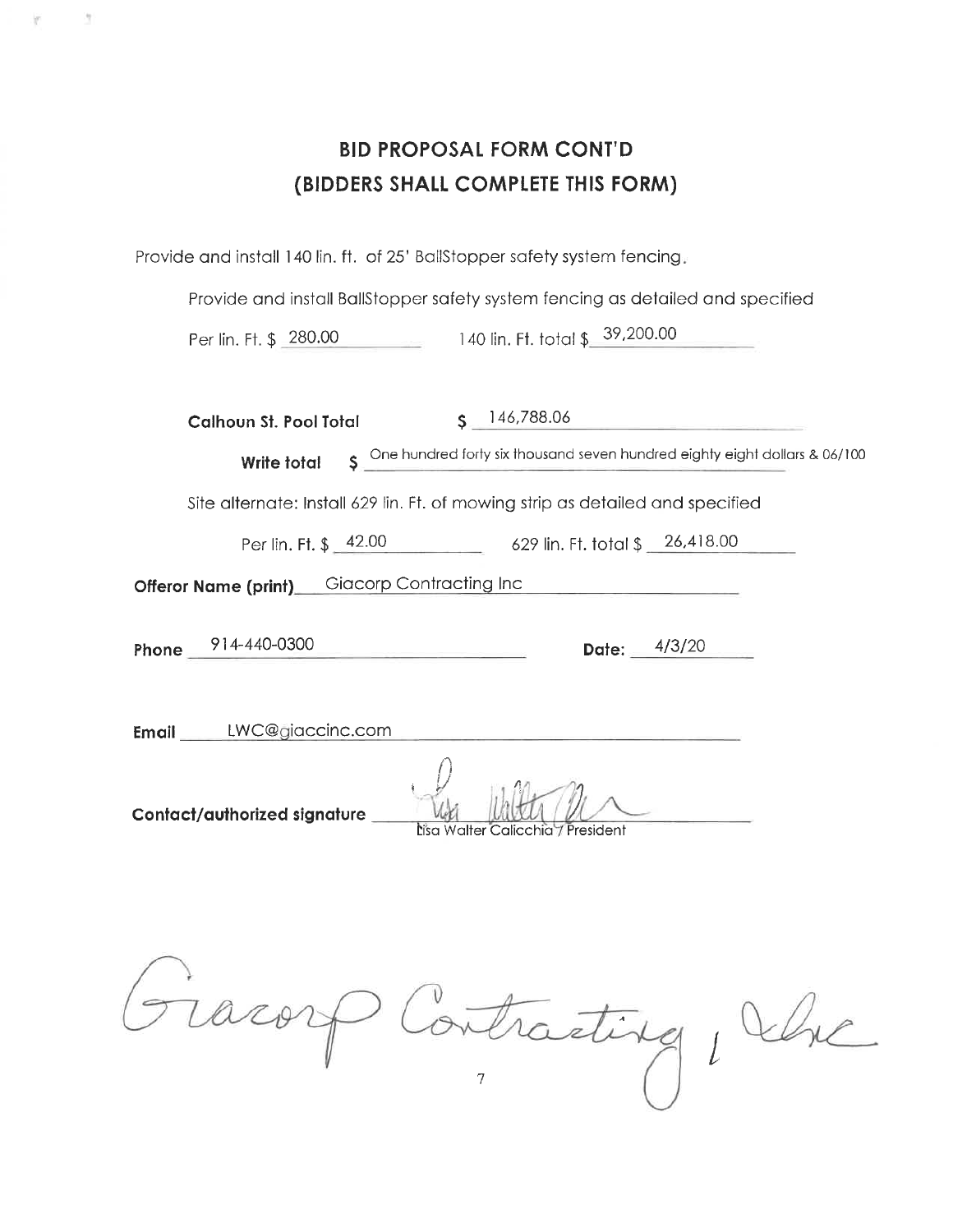|                                    | <b>BID PROPOSAL FORM CONT'D</b> |  |  |  |
|------------------------------------|---------------------------------|--|--|--|
| (BIDDERS SHALL COMPLETE THIS FORM) |                                 |  |  |  |

Provide and install 140 lin. ft. of 25' BallStopper safety system fencing.

y

W

Provide and install BallStopper safety system fencing as detailed and specified

140 lin. Ft. total \$ 39,200.00 Per lin. Ft. \$ 280.00

| Calhoun St. Pool Total<br>S.                        | 146,788.06                                                                     |
|-----------------------------------------------------|--------------------------------------------------------------------------------|
| Write total                                         | S One hundred forty six thousand seven hundred eighty eight dollars & 06/100   |
|                                                     | Site alternate: Install 629 lin. Ft. of mowing strip as detailed and specified |
|                                                     | Per lin. Ft. \$ 42.00 629 lin. Ft. total \$ 26,418.00                          |
| <b>Offeror Name (print)</b> Giacorp Contracting Inc | the control of the control of the control of                                   |
| Phone 914-440-0300                                  | Date: $4/3/20$                                                                 |
| Email LWC@giaccinc.com                              |                                                                                |
| Contact/authorized signature                        | Lisa Walter Calicchia / President                                              |

Gracorp Contracting, Vhc